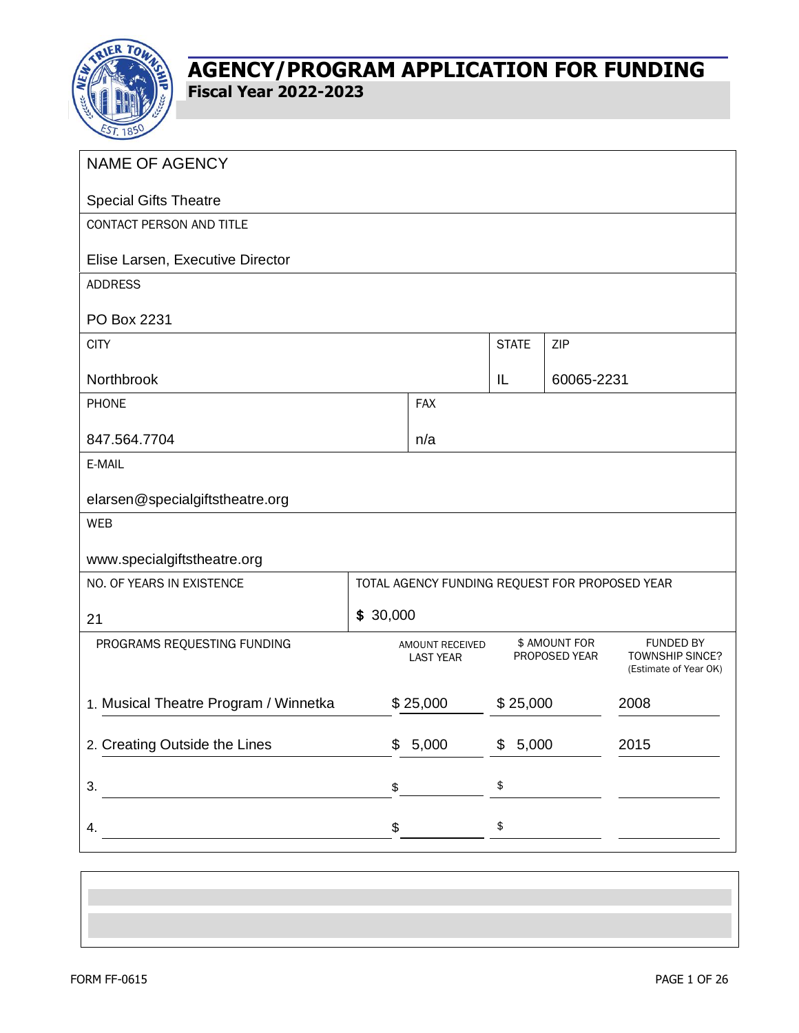

| <b>NAME OF AGENCY</b>                 |          |                                                |              |                                |                                                                     |
|---------------------------------------|----------|------------------------------------------------|--------------|--------------------------------|---------------------------------------------------------------------|
| <b>Special Gifts Theatre</b>          |          |                                                |              |                                |                                                                     |
| CONTACT PERSON AND TITLE              |          |                                                |              |                                |                                                                     |
| Elise Larsen, Executive Director      |          |                                                |              |                                |                                                                     |
| <b>ADDRESS</b>                        |          |                                                |              |                                |                                                                     |
| PO Box 2231                           |          |                                                |              |                                |                                                                     |
| <b>CITY</b>                           |          |                                                | <b>STATE</b> | ZIP                            |                                                                     |
| Northbrook                            |          |                                                | IL           | 60065-2231                     |                                                                     |
| <b>PHONE</b>                          |          | <b>FAX</b>                                     |              |                                |                                                                     |
| 847.564.7704                          |          | n/a                                            |              |                                |                                                                     |
| E-MAIL                                |          |                                                |              |                                |                                                                     |
| elarsen@specialgiftstheatre.org       |          |                                                |              |                                |                                                                     |
| <b>WEB</b>                            |          |                                                |              |                                |                                                                     |
| www.specialgiftstheatre.org           |          |                                                |              |                                |                                                                     |
| NO. OF YEARS IN EXISTENCE             |          | TOTAL AGENCY FUNDING REQUEST FOR PROPOSED YEAR |              |                                |                                                                     |
| 21                                    | \$30,000 |                                                |              |                                |                                                                     |
| PROGRAMS REQUESTING FUNDING           |          | AMOUNT RECEIVED<br><b>LAST YEAR</b>            |              | \$ AMOUNT FOR<br>PROPOSED YEAR | <b>FUNDED BY</b><br><b>TOWNSHIP SINCE?</b><br>(Estimate of Year OK) |
| 1. Musical Theatre Program / Winnetka |          | \$25,000                                       | \$25,000     |                                | 2008                                                                |
| 2. Creating Outside the Lines         | \$       | 5,000                                          | \$5,000      |                                | 2015                                                                |
| 3.                                    | \$       |                                                | \$           |                                |                                                                     |
| 4.                                    | \$       |                                                | \$           |                                |                                                                     |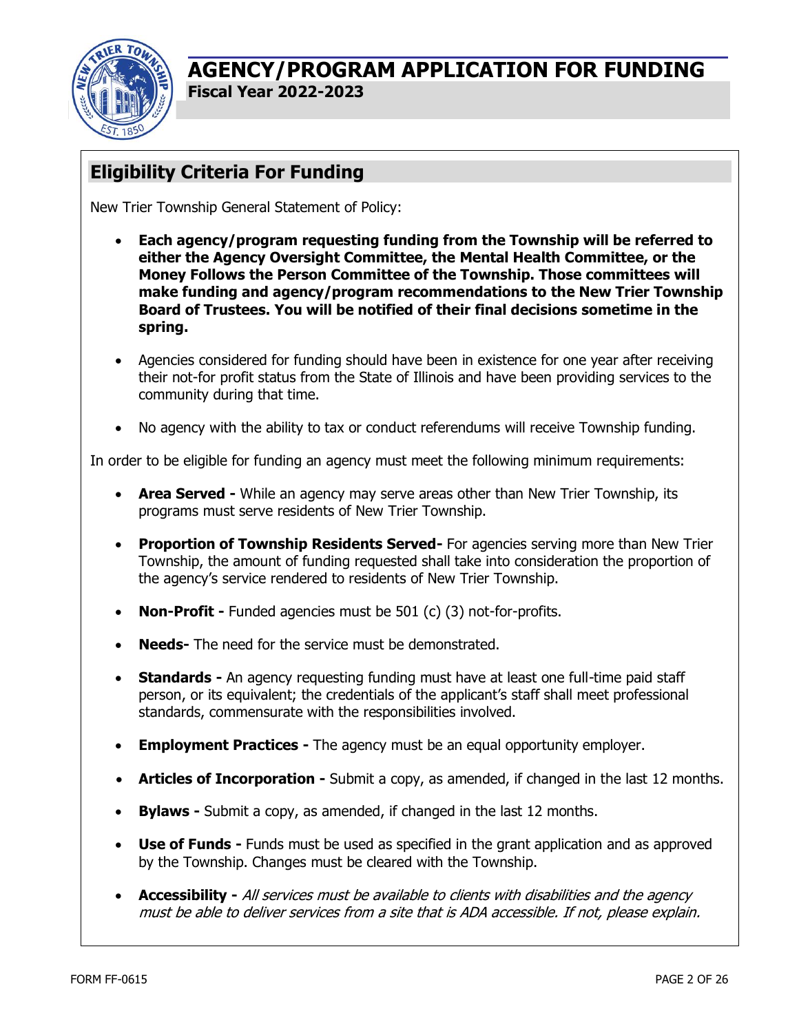

# **Eligibility Criteria For Funding**

New Trier Township General Statement of Policy:

- **Each agency/program requesting funding from the Township will be referred to either the Agency Oversight Committee, the Mental Health Committee, or the Money Follows the Person Committee of the Township. Those committees will make funding and agency/program recommendations to the New Trier Township Board of Trustees. You will be notified of their final decisions sometime in the spring.**
- Agencies considered for funding should have been in existence for one year after receiving their not-for profit status from the State of Illinois and have been providing services to the community during that time.
- No agency with the ability to tax or conduct referendums will receive Township funding.

In order to be eligible for funding an agency must meet the following minimum requirements:

- **Area Served -** While an agency may serve areas other than New Trier Township, its programs must serve residents of New Trier Township.
- **Proportion of Township Residents Served-** For agencies serving more than New Trier Township, the amount of funding requested shall take into consideration the proportion of the agency's service rendered to residents of New Trier Township.
- **Non-Profit -** Funded agencies must be 501 (c) (3) not-for-profits.
- **Needs-** The need for the service must be demonstrated.
- **Standards -** An agency requesting funding must have at least one full-time paid staff person, or its equivalent; the credentials of the applicant's staff shall meet professional standards, commensurate with the responsibilities involved.
- **Employment Practices -** The agency must be an equal opportunity employer.
- **Articles of Incorporation -** Submit a copy, as amended, if changed in the last 12 months.
- **Bylaws -** Submit a copy, as amended, if changed in the last 12 months.
- **Use of Funds -** Funds must be used as specified in the grant application and as approved by the Township. Changes must be cleared with the Township.
- **Accessibility -** All services must be available to clients with disabilities and the agency must be able to deliver services from a site that is ADA accessible. If not, please explain.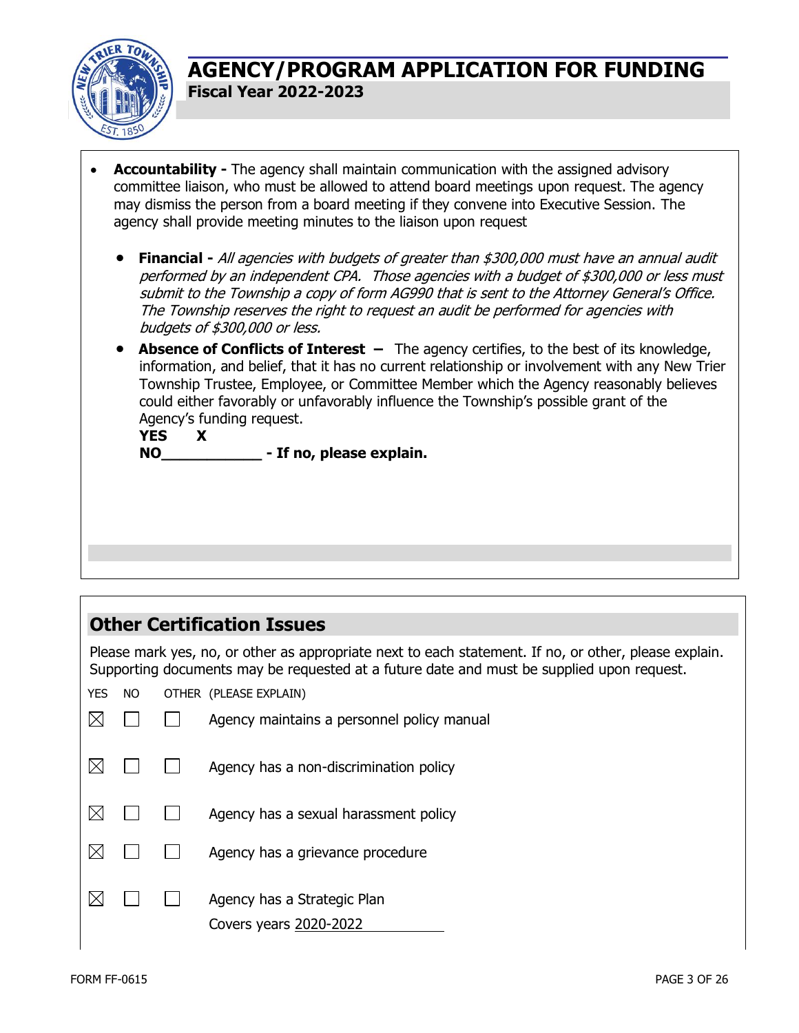

- **Accountability -** The agency shall maintain communication with the assigned advisory committee liaison, who must be allowed to attend board meetings upon request. The agency may dismiss the person from a board meeting if they convene into Executive Session. The agency shall provide meeting minutes to the liaison upon request
	- **Financial -** All agencies with budgets of greater than \$300,000 must have an annual audit performed by an independent CPA. Those agencies with a budget of \$300,000 or less must submit to the Township a copy of form AG990 that is sent to the Attorney General's Office. The Township reserves the right to request an audit be performed for agencies with budgets of \$300,000 or less.
	- **Absence of Conflicts of Interest –** The agency certifies, to the best of its knowledge, information, and belief, that it has no current relationship or involvement with any New Trier Township Trustee, Employee, or Committee Member which the Agency reasonably believes could either favorably or unfavorably influence the Township's possible grant of the Agency's funding request.

**YES X NO\_\_\_\_\_\_\_\_\_\_\_ - If no, please explain.**

# **Other Certification Issues**

Please mark yes, no, or other as appropriate next to each statement. If no, or other, please explain. Supporting documents may be requested at a future date and must be supplied upon request.

YES NO OTHER (PLEASE EXPLAIN)

|  | Agency maintains a personnel policy manual            |
|--|-------------------------------------------------------|
|  | Agency has a non-discrimination policy                |
|  | Agency has a sexual harassment policy                 |
|  | Agency has a grievance procedure                      |
|  | Agency has a Strategic Plan<br>Covers years 2020-2022 |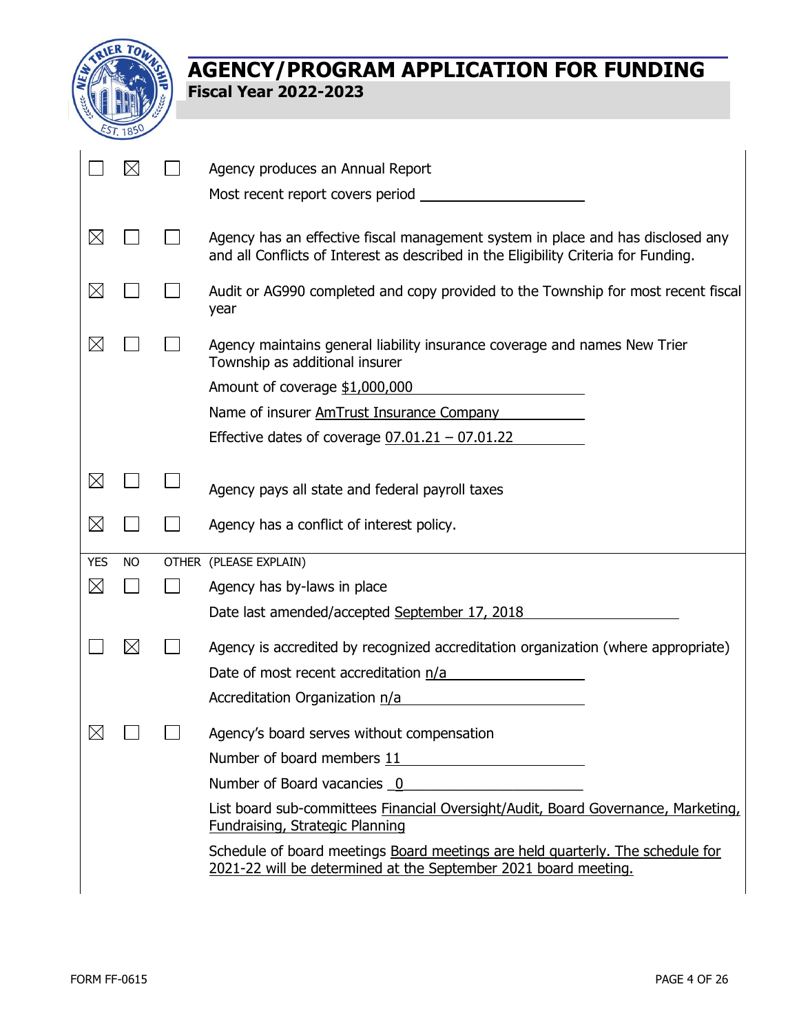

|             | M           | Agency produces an Annual Report                                                                                                                                       |
|-------------|-------------|------------------------------------------------------------------------------------------------------------------------------------------------------------------------|
|             |             | Most recent report covers period                                                                                                                                       |
| $\boxtimes$ |             | Agency has an effective fiscal management system in place and has disclosed any<br>and all Conflicts of Interest as described in the Eligibility Criteria for Funding. |
| $\boxtimes$ |             | Audit or AG990 completed and copy provided to the Township for most recent fiscal<br>year                                                                              |
| $\boxtimes$ |             | Agency maintains general liability insurance coverage and names New Trier<br>Township as additional insurer                                                            |
|             |             | Amount of coverage \$1,000,000                                                                                                                                         |
|             |             | Name of insurer AmTrust Insurance Company                                                                                                                              |
|             |             | Effective dates of coverage $07.01.21 - 07.01.22$                                                                                                                      |
| $\boxtimes$ |             | Agency pays all state and federal payroll taxes                                                                                                                        |
| $\boxtimes$ |             | Agency has a conflict of interest policy.                                                                                                                              |
| <b>YES</b>  | <b>NO</b>   | OTHER (PLEASE EXPLAIN)                                                                                                                                                 |
| $\boxtimes$ |             | Agency has by-laws in place                                                                                                                                            |
|             |             | Date last amended/accepted September 17, 2018                                                                                                                          |
|             | $\boxtimes$ | Agency is accredited by recognized accreditation organization (where appropriate)<br>Date of most recent accreditation n/a<br>Accreditation Organization n/a           |
| $\boxtimes$ |             | Agency's board serves without compensation                                                                                                                             |
|             |             | Number of board members 11                                                                                                                                             |
|             |             | Number of Board vacancies 0                                                                                                                                            |
|             |             | List board sub-committees Financial Oversight/Audit, Board Governance, Marketing,<br>Fundraising, Strategic Planning                                                   |
|             |             | Schedule of board meetings Board meetings are held quarterly. The schedule for<br>2021-22 will be determined at the September 2021 board meeting.                      |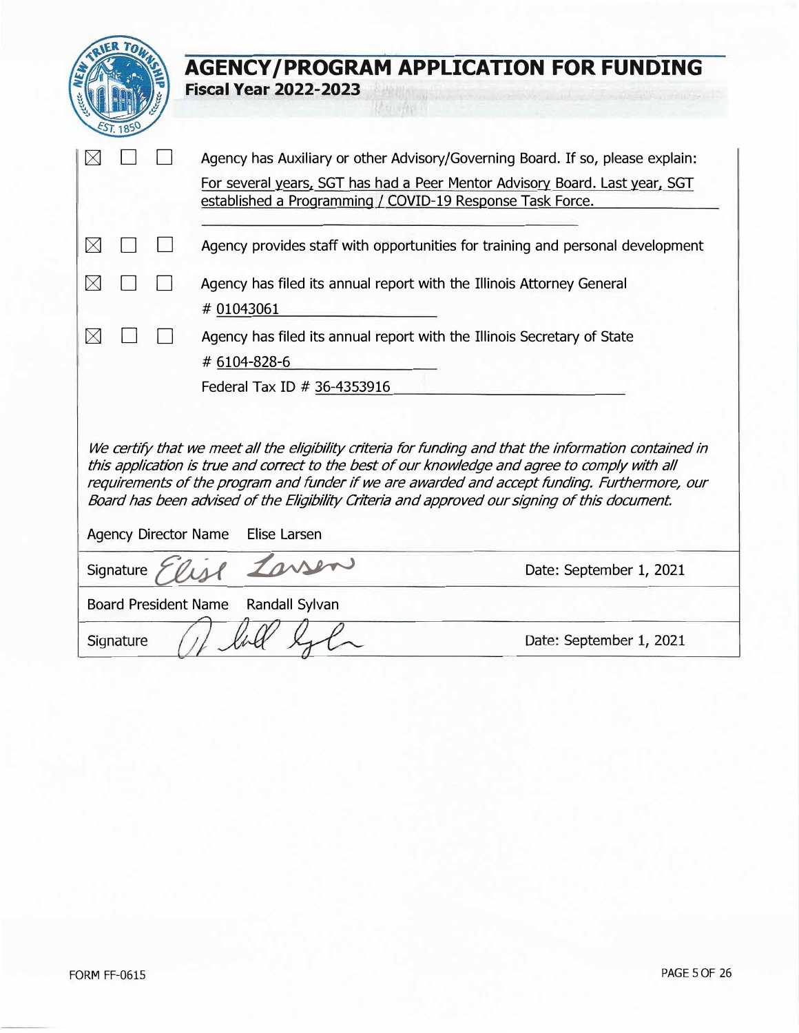|                                                                                                                                                                                                                                                                                                                                                                                                            |                                                |  | <b>AGENCY/PROGRAM APPLICATION FOR FUNDING</b><br><b>Fiscal Year 2022-2023</b>                                                            |  |  |
|------------------------------------------------------------------------------------------------------------------------------------------------------------------------------------------------------------------------------------------------------------------------------------------------------------------------------------------------------------------------------------------------------------|------------------------------------------------|--|------------------------------------------------------------------------------------------------------------------------------------------|--|--|
|                                                                                                                                                                                                                                                                                                                                                                                                            |                                                |  | Agency has Auxiliary or other Advisory/Governing Board. If so, please explain:                                                           |  |  |
|                                                                                                                                                                                                                                                                                                                                                                                                            |                                                |  | For several years, SGT has had a Peer Mentor Advisory Board. Last year, SGT<br>established a Programming / COVID-19 Response Task Force. |  |  |
| $\boxtimes$                                                                                                                                                                                                                                                                                                                                                                                                |                                                |  | Agency provides staff with opportunities for training and personal development                                                           |  |  |
| $\boxtimes$                                                                                                                                                                                                                                                                                                                                                                                                |                                                |  | Agency has filed its annual report with the Illinois Attorney General                                                                    |  |  |
|                                                                                                                                                                                                                                                                                                                                                                                                            |                                                |  | # 01043061                                                                                                                               |  |  |
| $\boxtimes$                                                                                                                                                                                                                                                                                                                                                                                                |                                                |  | Agency has filed its annual report with the Illinois Secretary of State                                                                  |  |  |
| # 6104-828-6                                                                                                                                                                                                                                                                                                                                                                                               |                                                |  |                                                                                                                                          |  |  |
| Federal Tax ID # 36-4353916                                                                                                                                                                                                                                                                                                                                                                                |                                                |  |                                                                                                                                          |  |  |
| We certify that we meet all the eligibility criteria for funding and that the information contained in<br>this application is true and correct to the best of our knowledge and agree to comply with all<br>requirements of the program and funder if we are awarded and accept funding. Furthermore, our<br>Board has been advised of the Eligibility Criteria and approved our signing of this document. |                                                |  |                                                                                                                                          |  |  |
| <b>Agency Director Name</b><br>Elise Larsen                                                                                                                                                                                                                                                                                                                                                                |                                                |  |                                                                                                                                          |  |  |
|                                                                                                                                                                                                                                                                                                                                                                                                            | Tarren<br>Signature<br>Date: September 1, 2021 |  |                                                                                                                                          |  |  |
| <b>Board President Name</b><br>Randall Sylvan                                                                                                                                                                                                                                                                                                                                                              |                                                |  |                                                                                                                                          |  |  |
|                                                                                                                                                                                                                                                                                                                                                                                                            | Signature                                      |  | Date: September 1, 2021                                                                                                                  |  |  |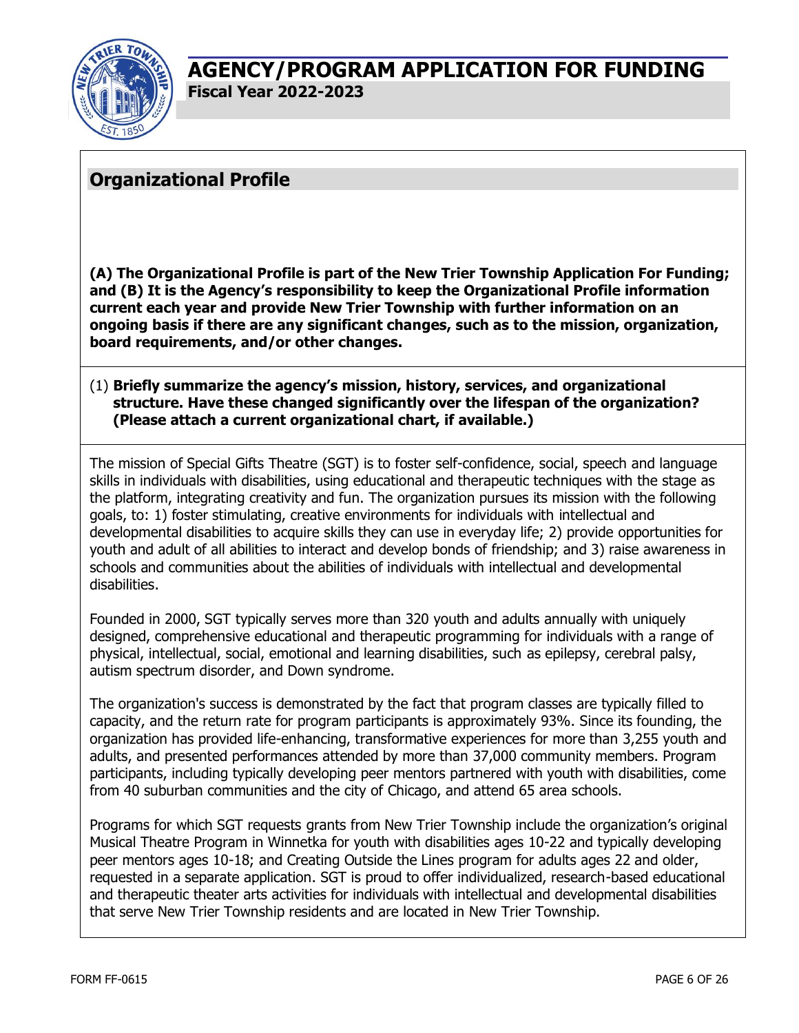

## **Organizational Profile**

**(A) The Organizational Profile is part of the New Trier Township Application For Funding; and (B) It is the Agency's responsibility to keep the Organizational Profile information current each year and provide New Trier Township with further information on an ongoing basis if there are any significant changes, such as to the mission, organization, board requirements, and/or other changes.**

### (1) **Briefly summarize the agency's mission, history, services, and organizational structure. Have these changed significantly over the lifespan of the organization? (Please attach a current organizational chart, if available.)**

The mission of Special Gifts Theatre (SGT) is to foster self-confidence, social, speech and language skills in individuals with disabilities, using educational and therapeutic techniques with the stage as the platform, integrating creativity and fun. The organization pursues its mission with the following goals, to: 1) foster stimulating, creative environments for individuals with intellectual and developmental disabilities to acquire skills they can use in everyday life; 2) provide opportunities for youth and adult of all abilities to interact and develop bonds of friendship; and 3) raise awareness in schools and communities about the abilities of individuals with intellectual and developmental disabilities.

Founded in 2000, SGT typically serves more than 320 youth and adults annually with uniquely designed, comprehensive educational and therapeutic programming for individuals with a range of physical, intellectual, social, emotional and learning disabilities, such as epilepsy, cerebral palsy, autism spectrum disorder, and Down syndrome.

The organization's success is demonstrated by the fact that program classes are typically filled to capacity, and the return rate for program participants is approximately 93%. Since its founding, the organization has provided life-enhancing, transformative experiences for more than 3,255 youth and adults, and presented performances attended by more than 37,000 community members. Program participants, including typically developing peer mentors partnered with youth with disabilities, come from 40 suburban communities and the city of Chicago, and attend 65 area schools.

Programs for which SGT requests grants from New Trier Township include the organization's original Musical Theatre Program in Winnetka for youth with disabilities ages 10-22 and typically developing peer mentors ages 10-18; and Creating Outside the Lines program for adults ages 22 and older, requested in a separate application. SGT is proud to offer individualized, research-based educational and therapeutic theater arts activities for individuals with intellectual and developmental disabilities that serve New Trier Township residents and are located in New Trier Township.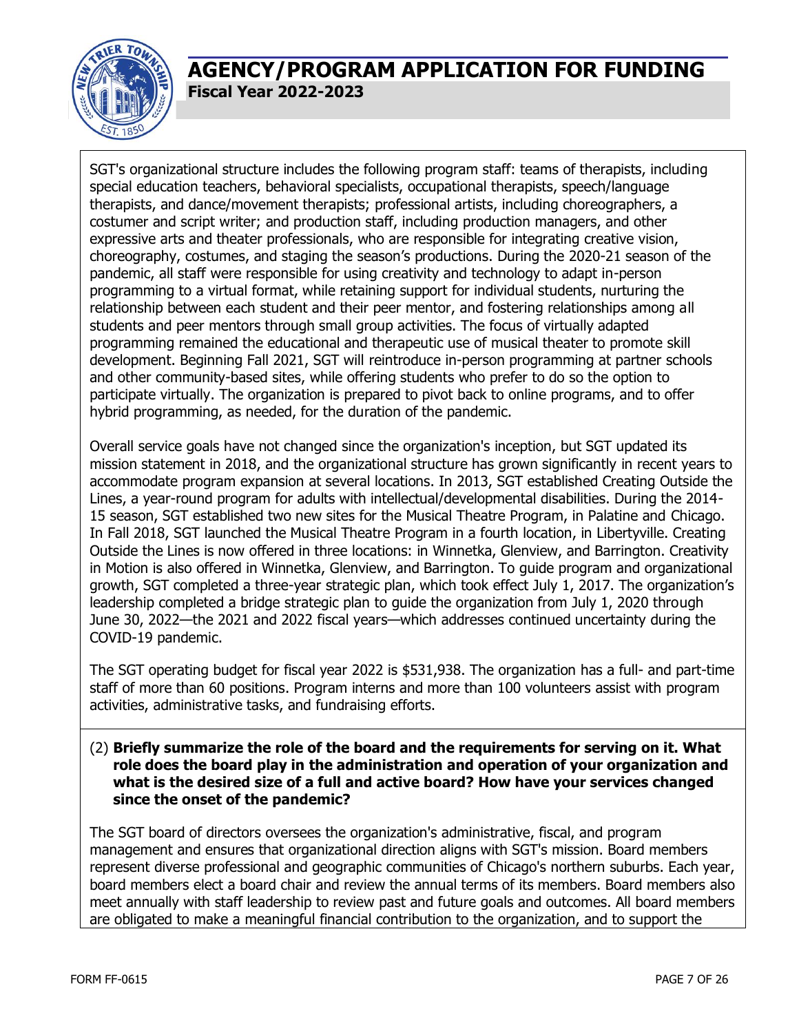

SGT's organizational structure includes the following program staff: teams of therapists, including special education teachers, behavioral specialists, occupational therapists, speech/language therapists, and dance/movement therapists; professional artists, including choreographers, a costumer and script writer; and production staff, including production managers, and other expressive arts and theater professionals, who are responsible for integrating creative vision, choreography, costumes, and staging the season's productions. During the 2020-21 season of the pandemic, all staff were responsible for using creativity and technology to adapt in-person programming to a virtual format, while retaining support for individual students, nurturing the relationship between each student and their peer mentor, and fostering relationships among all students and peer mentors through small group activities. The focus of virtually adapted programming remained the educational and therapeutic use of musical theater to promote skill development. Beginning Fall 2021, SGT will reintroduce in-person programming at partner schools and other community-based sites, while offering students who prefer to do so the option to participate virtually. The organization is prepared to pivot back to online programs, and to offer hybrid programming, as needed, for the duration of the pandemic.

Overall service goals have not changed since the organization's inception, but SGT updated its mission statement in 2018, and the organizational structure has grown significantly in recent years to accommodate program expansion at several locations. In 2013, SGT established Creating Outside the Lines, a year-round program for adults with intellectual/developmental disabilities. During the 2014- 15 season, SGT established two new sites for the Musical Theatre Program, in Palatine and Chicago. In Fall 2018, SGT launched the Musical Theatre Program in a fourth location, in Libertyville. Creating Outside the Lines is now offered in three locations: in Winnetka, Glenview, and Barrington. Creativity in Motion is also offered in Winnetka, Glenview, and Barrington. To guide program and organizational growth, SGT completed a three-year strategic plan, which took effect July 1, 2017. The organization's leadership completed a bridge strategic plan to guide the organization from July 1, 2020 through June 30, 2022—the 2021 and 2022 fiscal years—which addresses continued uncertainty during the COVID-19 pandemic.

The SGT operating budget for fiscal year 2022 is \$531,938. The organization has a full- and part-time staff of more than 60 positions. Program interns and more than 100 volunteers assist with program activities, administrative tasks, and fundraising efforts.

#### (2) **Briefly summarize the role of the board and the requirements for serving on it. What role does the board play in the administration and operation of your organization and what is the desired size of a full and active board? How have your services changed since the onset of the pandemic?**

The SGT board of directors oversees the organization's administrative, fiscal, and program management and ensures that organizational direction aligns with SGT's mission. Board members represent diverse professional and geographic communities of Chicago's northern suburbs. Each year, board members elect a board chair and review the annual terms of its members. Board members also meet annually with staff leadership to review past and future goals and outcomes. All board members are obligated to make a meaningful financial contribution to the organization, and to support the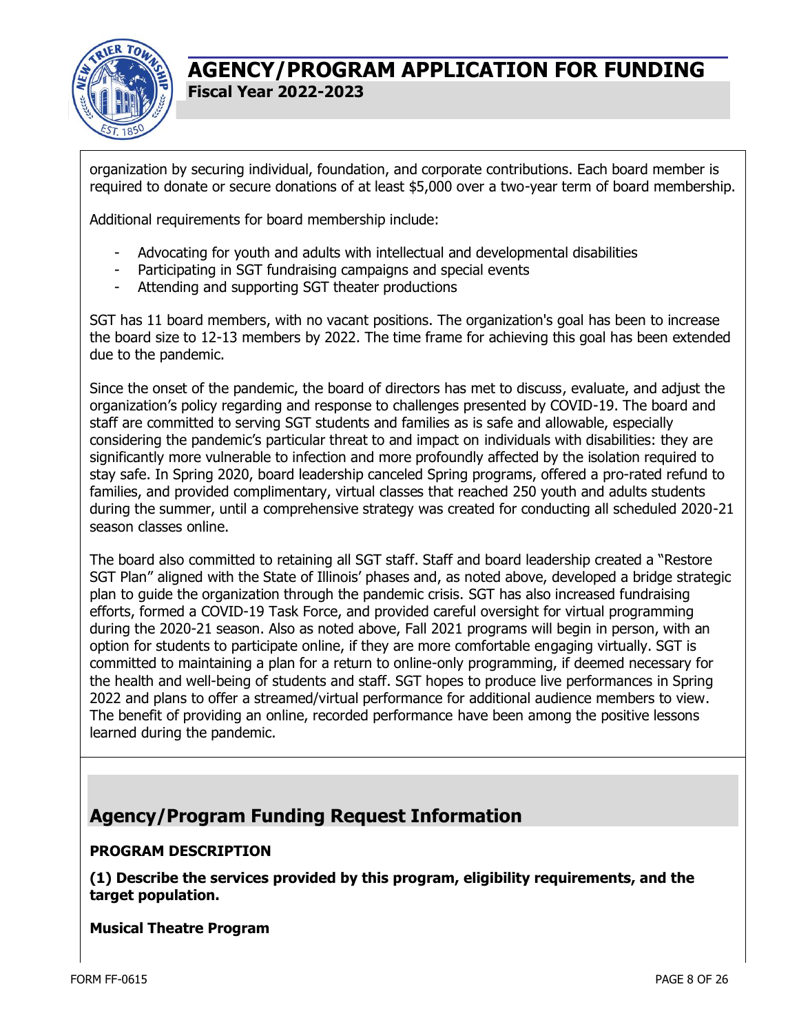

organization by securing individual, foundation, and corporate contributions. Each board member is required to donate or secure donations of at least \$5,000 over a two-year term of board membership.

Additional requirements for board membership include:

- Advocating for youth and adults with intellectual and developmental disabilities
- Participating in SGT fundraising campaigns and special events
- Attending and supporting SGT theater productions

SGT has 11 board members, with no vacant positions. The organization's goal has been to increase the board size to 12-13 members by 2022. The time frame for achieving this goal has been extended due to the pandemic.

Since the onset of the pandemic, the board of directors has met to discuss, evaluate, and adjust the organization's policy regarding and response to challenges presented by COVID-19. The board and staff are committed to serving SGT students and families as is safe and allowable, especially considering the pandemic's particular threat to and impact on individuals with disabilities: they are significantly more vulnerable to infection and more profoundly affected by the isolation required to stay safe. In Spring 2020, board leadership canceled Spring programs, offered a pro-rated refund to families, and provided complimentary, virtual classes that reached 250 youth and adults students during the summer, until a comprehensive strategy was created for conducting all scheduled 2020-21 season classes online.

The board also committed to retaining all SGT staff. Staff and board leadership created a "Restore SGT Plan" aligned with the State of Illinois' phases and, as noted above, developed a bridge strategic plan to guide the organization through the pandemic crisis. SGT has also increased fundraising efforts, formed a COVID-19 Task Force, and provided careful oversight for virtual programming during the 2020-21 season. Also as noted above, Fall 2021 programs will begin in person, with an option for students to participate online, if they are more comfortable engaging virtually. SGT is committed to maintaining a plan for a return to online-only programming, if deemed necessary for the health and well-being of students and staff. SGT hopes to produce live performances in Spring 2022 and plans to offer a streamed/virtual performance for additional audience members to view. The benefit of providing an online, recorded performance have been among the positive lessons learned during the pandemic.

# **Agency/Program Funding Request Information**

### **PROGRAM DESCRIPTION**

**(1) Describe the services provided by this program, eligibility requirements, and the target population.**

#### **Musical Theatre Program**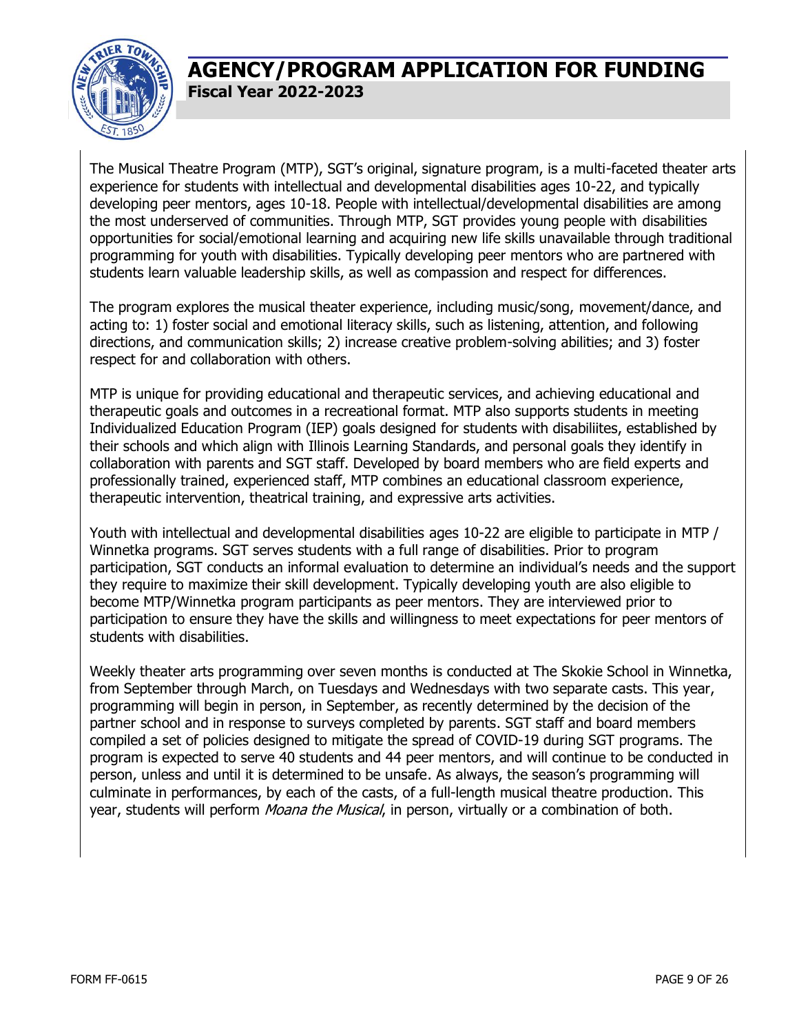

The Musical Theatre Program (MTP), SGT's original, signature program, is a multi-faceted theater arts experience for students with intellectual and developmental disabilities ages 10-22, and typically developing peer mentors, ages 10-18. People with intellectual/developmental disabilities are among the most underserved of communities. Through MTP, SGT provides young people with disabilities opportunities for social/emotional learning and acquiring new life skills unavailable through traditional programming for youth with disabilities. Typically developing peer mentors who are partnered with students learn valuable leadership skills, as well as compassion and respect for differences.

The program explores the musical theater experience, including music/song, movement/dance, and acting to: 1) foster social and emotional literacy skills, such as listening, attention, and following directions, and communication skills; 2) increase creative problem-solving abilities; and 3) foster respect for and collaboration with others.

MTP is unique for providing educational and therapeutic services, and achieving educational and therapeutic goals and outcomes in a recreational format. MTP also supports students in meeting Individualized Education Program (IEP) goals designed for students with disabiliites, established by their schools and which align with Illinois Learning Standards, and personal goals they identify in collaboration with parents and SGT staff. Developed by board members who are field experts and professionally trained, experienced staff, MTP combines an educational classroom experience, therapeutic intervention, theatrical training, and expressive arts activities.

Youth with intellectual and developmental disabilities ages 10-22 are eligible to participate in MTP / Winnetka programs. SGT serves students with a full range of disabilities. Prior to program participation, SGT conducts an informal evaluation to determine an individual's needs and the support they require to maximize their skill development. Typically developing youth are also eligible to become MTP/Winnetka program participants as peer mentors. They are interviewed prior to participation to ensure they have the skills and willingness to meet expectations for peer mentors of students with disabilities.

Weekly theater arts programming over seven months is conducted at The Skokie School in Winnetka, from September through March, on Tuesdays and Wednesdays with two separate casts. This year, programming will begin in person, in September, as recently determined by the decision of the partner school and in response to surveys completed by parents. SGT staff and board members compiled a set of policies designed to mitigate the spread of COVID-19 during SGT programs. The program is expected to serve 40 students and 44 peer mentors, and will continue to be conducted in person, unless and until it is determined to be unsafe. As always, the season's programming will culminate in performances, by each of the casts, of a full-length musical theatre production. This year, students will perform Moana the Musical, in person, virtually or a combination of both.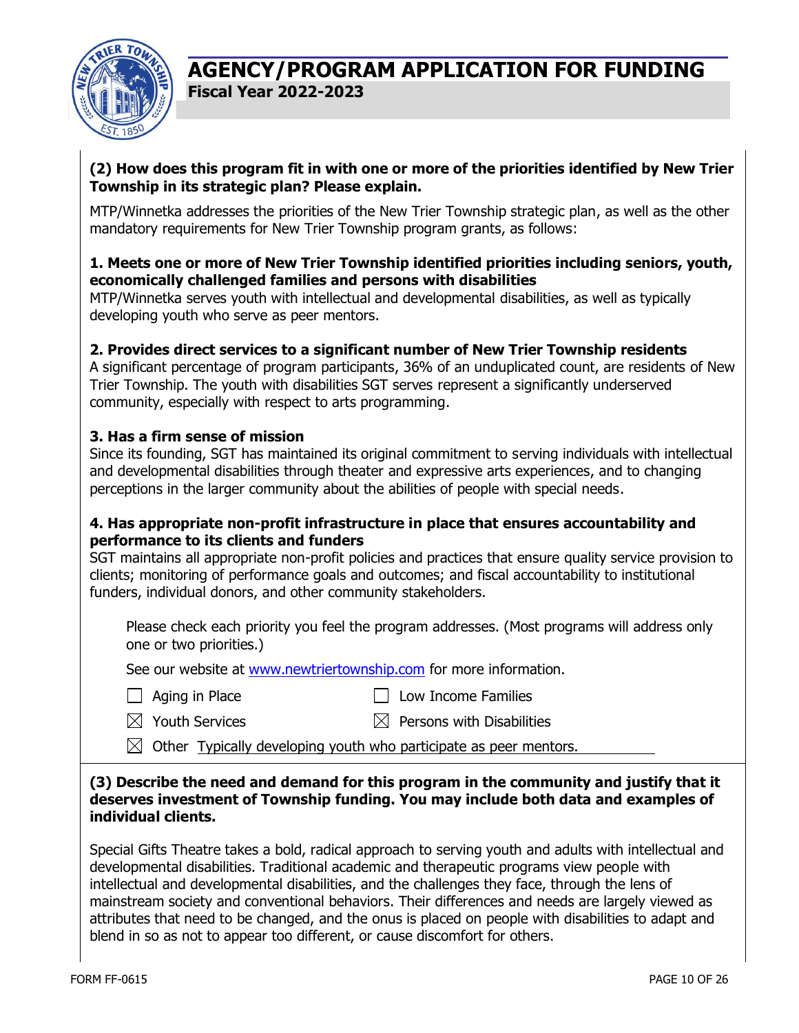

#### **(2) How does this program fit in with one or more of the priorities identified by New Trier Township in its strategic plan? Please explain.**

MTP/Winnetka addresses the priorities of the New Trier Township strategic plan, as well as the other mandatory requirements for New Trier Township program grants, as follows:

#### **1. Meets one or more of New Trier Township identified priorities including seniors, youth, economically challenged families and persons with disabilities**

MTP/Winnetka serves youth with intellectual and developmental disabilities, as well as typically developing youth who serve as peer mentors.

### **2. Provides direct services to a significant number of New Trier Township residents**

A significant percentage of program participants, 36% of an unduplicated count, are residents of New Trier Township. The youth with disabilities SGT serves represent a significantly underserved community, especially with respect to arts programming.

#### **3. Has a firm sense of mission**

Since its founding, SGT has maintained its original commitment to serving individuals with intellectual and developmental disabilities through theater and expressive arts experiences, and to changing perceptions in the larger community about the abilities of people with special needs.

#### **4. Has appropriate non-profit infrastructure in place that ensures accountability and performance to its clients and funders**

SGT maintains all appropriate non-profit policies and practices that ensure quality service provision to clients; monitoring of performance goals and outcomes; and fiscal accountability to institutional funders, individual donors, and other community stakeholders.

Please check each priority you feel the program addresses. (Most programs will address only one or two priorities.)

See our website at [www.newtriertownship.com](http://www.newtriertownship.com/) for more information.

- 
- $\Box$  Aging in Place  $\Box$  Low Income Families
- $\boxtimes$  Youth Services  $\boxtimes$  Persons with Disabilities

 $\boxtimes$  Other Typically developing youth who participate as peer mentors.

#### **(3) Describe the need and demand for this program in the community and justify that it deserves investment of Township funding. You may include both data and examples of individual clients.**

Special Gifts Theatre takes a bold, radical approach to serving youth and adults with intellectual and developmental disabilities. Traditional academic and therapeutic programs view people with intellectual and developmental disabilities, and the challenges they face, through the lens of mainstream society and conventional behaviors. Their differences and needs are largely viewed as attributes that need to be changed, and the onus is placed on people with disabilities to adapt and blend in so as not to appear too different, or cause discomfort for others.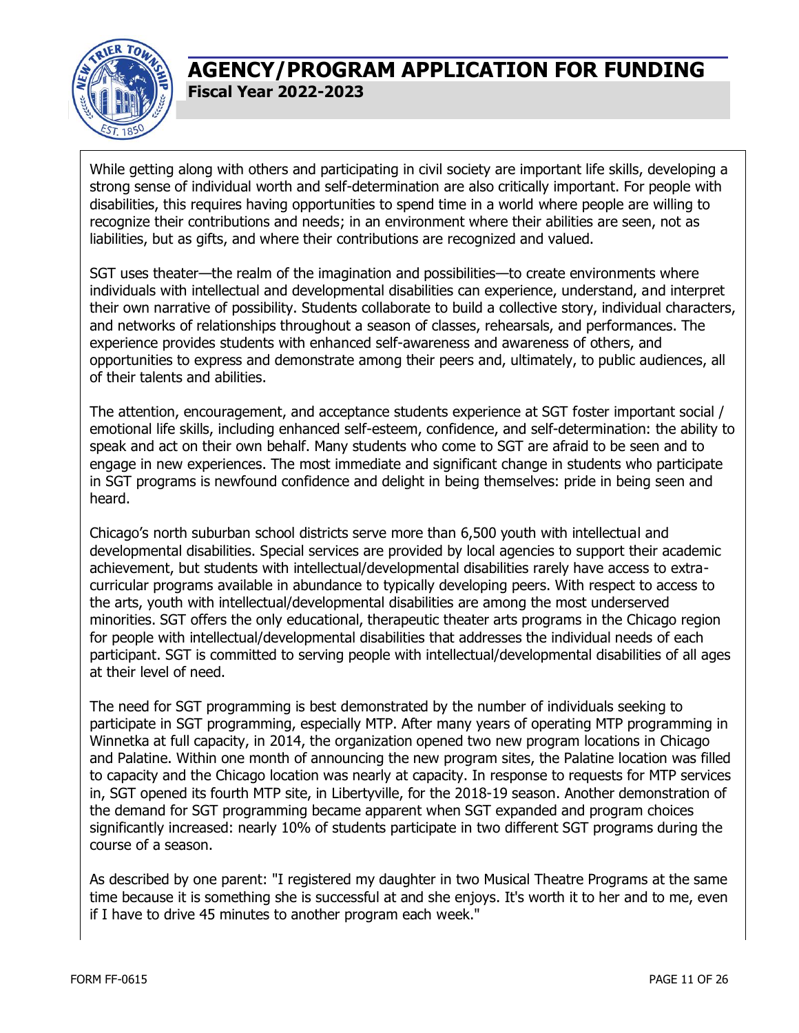

While getting along with others and participating in civil society are important life skills, developing a strong sense of individual worth and self-determination are also critically important. For people with disabilities, this requires having opportunities to spend time in a world where people are willing to recognize their contributions and needs; in an environment where their abilities are seen, not as liabilities, but as gifts, and where their contributions are recognized and valued.

SGT uses theater—the realm of the imagination and possibilities—to create environments where individuals with intellectual and developmental disabilities can experience, understand, and interpret their own narrative of possibility. Students collaborate to build a collective story, individual characters, and networks of relationships throughout a season of classes, rehearsals, and performances. The experience provides students with enhanced self-awareness and awareness of others, and opportunities to express and demonstrate among their peers and, ultimately, to public audiences, all of their talents and abilities.

The attention, encouragement, and acceptance students experience at SGT foster important social / emotional life skills, including enhanced self-esteem, confidence, and self-determination: the ability to speak and act on their own behalf. Many students who come to SGT are afraid to be seen and to engage in new experiences. The most immediate and significant change in students who participate in SGT programs is newfound confidence and delight in being themselves: pride in being seen and heard.

Chicago's north suburban school districts serve more than 6,500 youth with intellectual and developmental disabilities. Special services are provided by local agencies to support their academic achievement, but students with intellectual/developmental disabilities rarely have access to extracurricular programs available in abundance to typically developing peers. With respect to access to the arts, youth with intellectual/developmental disabilities are among the most underserved minorities. SGT offers the only educational, therapeutic theater arts programs in the Chicago region for people with intellectual/developmental disabilities that addresses the individual needs of each participant. SGT is committed to serving people with intellectual/developmental disabilities of all ages at their level of need.

The need for SGT programming is best demonstrated by the number of individuals seeking to participate in SGT programming, especially MTP. After many years of operating MTP programming in Winnetka at full capacity, in 2014, the organization opened two new program locations in Chicago and Palatine. Within one month of announcing the new program sites, the Palatine location was filled to capacity and the Chicago location was nearly at capacity. In response to requests for MTP services in, SGT opened its fourth MTP site, in Libertyville, for the 2018-19 season. Another demonstration of the demand for SGT programming became apparent when SGT expanded and program choices significantly increased: nearly 10% of students participate in two different SGT programs during the course of a season.

As described by one parent: "I registered my daughter in two Musical Theatre Programs at the same time because it is something she is successful at and she enjoys. It's worth it to her and to me, even if I have to drive 45 minutes to another program each week."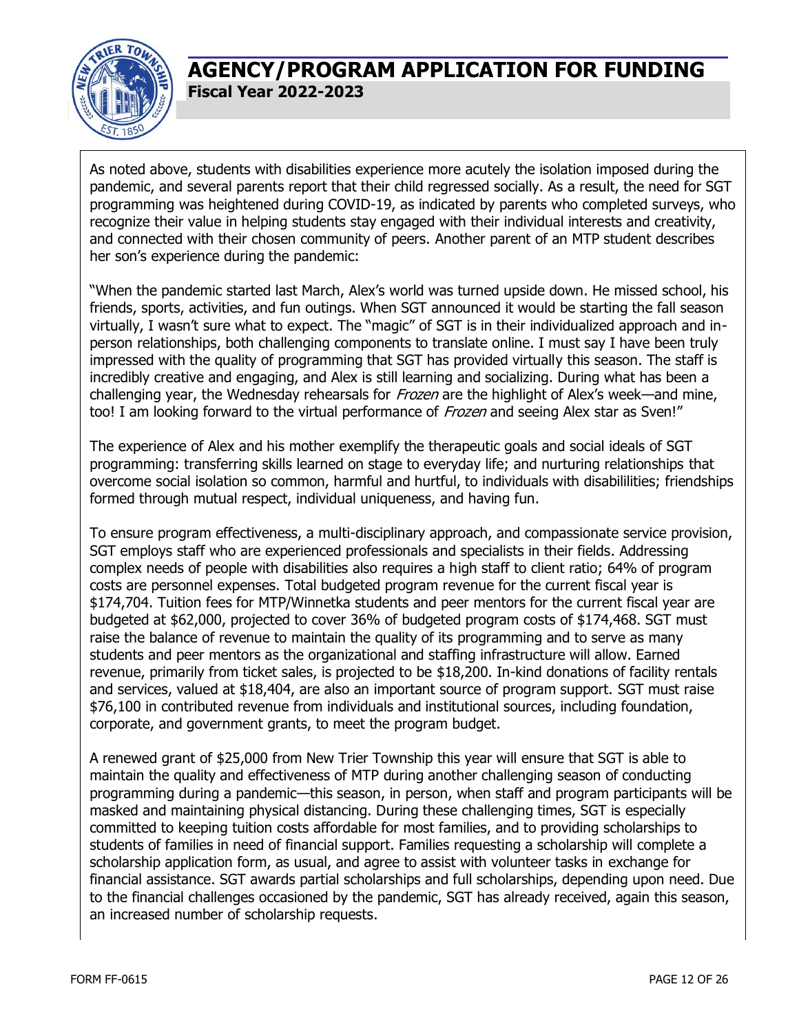

As noted above, students with disabilities experience more acutely the isolation imposed during the pandemic, and several parents report that their child regressed socially. As a result, the need for SGT programming was heightened during COVID-19, as indicated by parents who completed surveys, who recognize their value in helping students stay engaged with their individual interests and creativity, and connected with their chosen community of peers. Another parent of an MTP student describes her son's experience during the pandemic:

"When the pandemic started last March, Alex's world was turned upside down. He missed school, his friends, sports, activities, and fun outings. When SGT announced it would be starting the fall season virtually, I wasn't sure what to expect. The "magic" of SGT is in their individualized approach and inperson relationships, both challenging components to translate online. I must say I have been truly impressed with the quality of programming that SGT has provided virtually this season. The staff is incredibly creative and engaging, and Alex is still learning and socializing. During what has been a challenging year, the Wednesday rehearsals for *Frozen* are the highlight of Alex's week—and mine, too! I am looking forward to the virtual performance of *Frozen* and seeing Alex star as Sven!"

The experience of Alex and his mother exemplify the therapeutic goals and social ideals of SGT programming: transferring skills learned on stage to everyday life; and nurturing relationships that overcome social isolation so common, harmful and hurtful, to individuals with disabililities; friendships formed through mutual respect, individual uniqueness, and having fun.

To ensure program effectiveness, a multi-disciplinary approach, and compassionate service provision, SGT employs staff who are experienced professionals and specialists in their fields. Addressing complex needs of people with disabilities also requires a high staff to client ratio; 64% of program costs are personnel expenses. Total budgeted program revenue for the current fiscal year is \$174,704. Tuition fees for MTP/Winnetka students and peer mentors for the current fiscal year are budgeted at \$62,000, projected to cover 36% of budgeted program costs of \$174,468. SGT must raise the balance of revenue to maintain the quality of its programming and to serve as many students and peer mentors as the organizational and staffing infrastructure will allow. Earned revenue, primarily from ticket sales, is projected to be \$18,200. In-kind donations of facility rentals and services, valued at \$18,404, are also an important source of program support. SGT must raise \$76,100 in contributed revenue from individuals and institutional sources, including foundation, corporate, and government grants, to meet the program budget.

A renewed grant of \$25,000 from New Trier Township this year will ensure that SGT is able to maintain the quality and effectiveness of MTP during another challenging season of conducting programming during a pandemic—this season, in person, when staff and program participants will be masked and maintaining physical distancing. During these challenging times, SGT is especially committed to keeping tuition costs affordable for most families, and to providing scholarships to students of families in need of financial support. Families requesting a scholarship will complete a scholarship application form, as usual, and agree to assist with volunteer tasks in exchange for financial assistance. SGT awards partial scholarships and full scholarships, depending upon need. Due to the financial challenges occasioned by the pandemic, SGT has already received, again this season, an increased number of scholarship requests.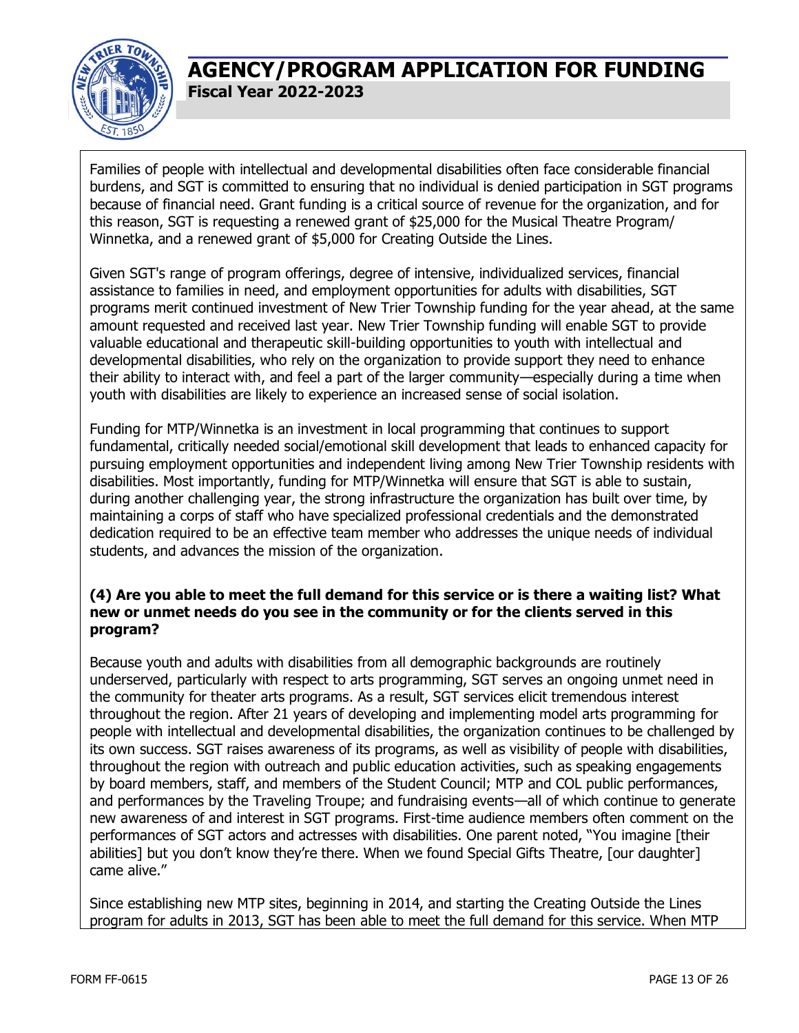

Families of people with intellectual and developmental disabilities often face considerable financial burdens, and SGT is committed to ensuring that no individual is denied participation in SGT programs because of financial need. Grant funding is a critical source of revenue for the organization, and for this reason, SGT is requesting a renewed grant of \$25,000 for the Musical Theatre Program/ Winnetka, and a renewed grant of \$5,000 for Creating Outside the Lines.

Given SGT's range of program offerings, degree of intensive, individualized services, financial assistance to families in need, and employment opportunities for adults with disabilities, SGT programs merit continued investment of New Trier Township funding for the year ahead, at the same amount requested and received last year. New Trier Township funding will enable SGT to provide valuable educational and therapeutic skill-building opportunities to youth with intellectual and developmental disabilities, who rely on the organization to provide support they need to enhance their ability to interact with, and feel a part of the larger community—especially during a time when youth with disabilities are likely to experience an increased sense of social isolation.

Funding for MTP/Winnetka is an investment in local programming that continues to support fundamental, critically needed social/emotional skill development that leads to enhanced capacity for pursuing employment opportunities and independent living among New Trier Township residents with disabilities. Most importantly, funding for MTP/Winnetka will ensure that SGT is able to sustain, during another challenging year, the strong infrastructure the organization has built over time, by maintaining a corps of staff who have specialized professional credentials and the demonstrated dedication required to be an effective team member who addresses the unique needs of individual students, and advances the mission of the organization.

### **(4) Are you able to meet the full demand for this service or is there a waiting list? What new or unmet needs do you see in the community or for the clients served in this program?**

Because youth and adults with disabilities from all demographic backgrounds are routinely underserved, particularly with respect to arts programming, SGT serves an ongoing unmet need in the community for theater arts programs. As a result, SGT services elicit tremendous interest throughout the region. After 21 years of developing and implementing model arts programming for people with intellectual and developmental disabilities, the organization continues to be challenged by its own success. SGT raises awareness of its programs, as well as visibility of people with disabilities, throughout the region with outreach and public education activities, such as speaking engagements by board members, staff, and members of the Student Council; MTP and COL public performances, and performances by the Traveling Troupe; and fundraising events—all of which continue to generate new awareness of and interest in SGT programs. First-time audience members often comment on the performances of SGT actors and actresses with disabilities. One parent noted, "You imagine [their abilities] but you don't know they're there. When we found Special Gifts Theatre, [our daughter] came alive."

Since establishing new MTP sites, beginning in 2014, and starting the Creating Outside the Lines program for adults in 2013, SGT has been able to meet the full demand for this service. When MTP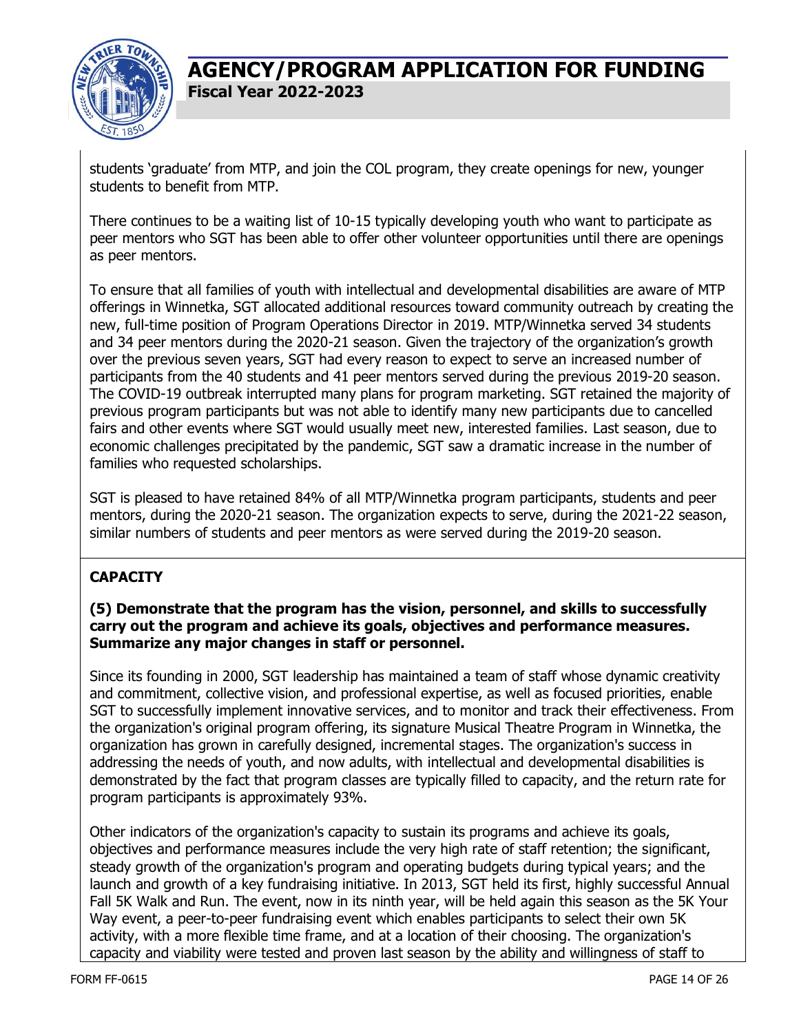

students 'graduate' from MTP, and join the COL program, they create openings for new, younger students to benefit from MTP.

There continues to be a waiting list of 10-15 typically developing youth who want to participate as peer mentors who SGT has been able to offer other volunteer opportunities until there are openings as peer mentors.

To ensure that all families of youth with intellectual and developmental disabilities are aware of MTP offerings in Winnetka, SGT allocated additional resources toward community outreach by creating the new, full-time position of Program Operations Director in 2019. MTP/Winnetka served 34 students and 34 peer mentors during the 2020-21 season. Given the trajectory of the organization's growth over the previous seven years, SGT had every reason to expect to serve an increased number of participants from the 40 students and 41 peer mentors served during the previous 2019-20 season. The COVID-19 outbreak interrupted many plans for program marketing. SGT retained the majority of previous program participants but was not able to identify many new participants due to cancelled fairs and other events where SGT would usually meet new, interested families. Last season, due to economic challenges precipitated by the pandemic, SGT saw a dramatic increase in the number of families who requested scholarships.

SGT is pleased to have retained 84% of all MTP/Winnetka program participants, students and peer mentors, during the 2020-21 season. The organization expects to serve, during the 2021-22 season, similar numbers of students and peer mentors as were served during the 2019-20 season.

### **CAPACITY**

#### **(5) Demonstrate that the program has the vision, personnel, and skills to successfully carry out the program and achieve its goals, objectives and performance measures. Summarize any major changes in staff or personnel.**

Since its founding in 2000, SGT leadership has maintained a team of staff whose dynamic creativity and commitment, collective vision, and professional expertise, as well as focused priorities, enable SGT to successfully implement innovative services, and to monitor and track their effectiveness. From the organization's original program offering, its signature Musical Theatre Program in Winnetka, the organization has grown in carefully designed, incremental stages. The organization's success in addressing the needs of youth, and now adults, with intellectual and developmental disabilities is demonstrated by the fact that program classes are typically filled to capacity, and the return rate for program participants is approximately 93%.

Other indicators of the organization's capacity to sustain its programs and achieve its goals, objectives and performance measures include the very high rate of staff retention; the significant, steady growth of the organization's program and operating budgets during typical years; and the launch and growth of a key fundraising initiative. In 2013, SGT held its first, highly successful Annual Fall 5K Walk and Run. The event, now in its ninth year, will be held again this season as the 5K Your Way event, a peer-to-peer fundraising event which enables participants to select their own 5K activity, with a more flexible time frame, and at a location of their choosing. The organization's capacity and viability were tested and proven last season by the ability and willingness of staff to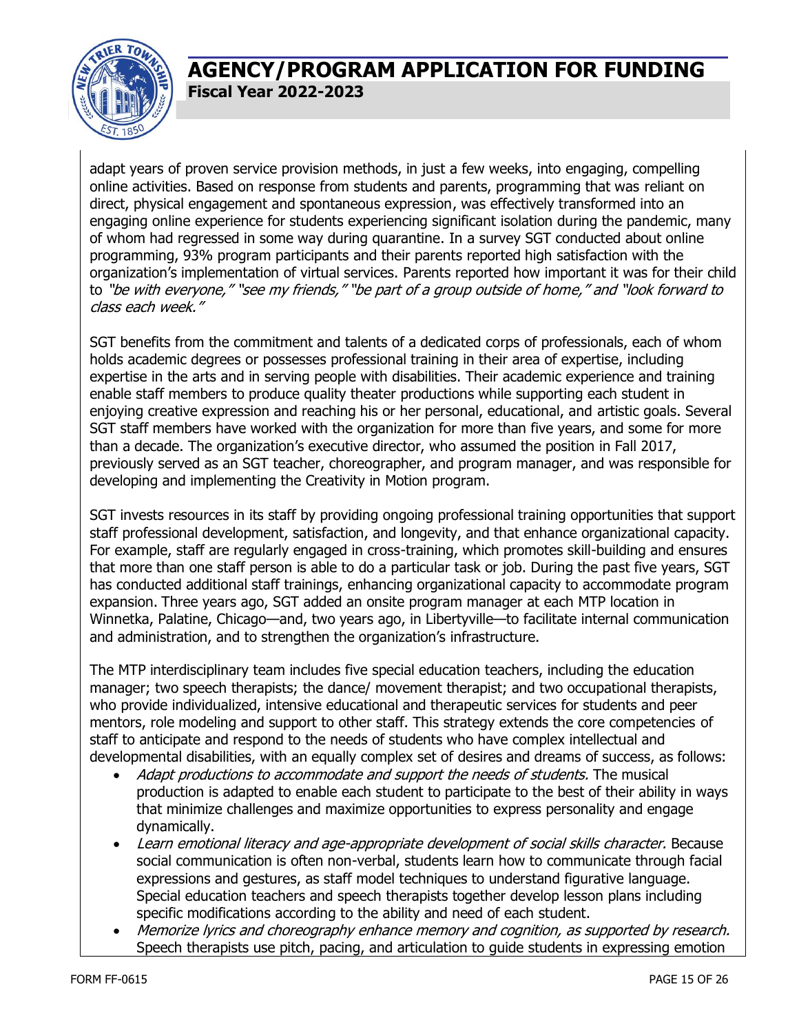

adapt years of proven service provision methods, in just a few weeks, into engaging, compelling online activities. Based on response from students and parents, programming that was reliant on direct, physical engagement and spontaneous expression, was effectively transformed into an engaging online experience for students experiencing significant isolation during the pandemic, many of whom had regressed in some way during quarantine. In a survey SGT conducted about online programming, 93% program participants and their parents reported high satisfaction with the organization's implementation of virtual services. Parents reported how important it was for their child to "be with everyone," "see my friends," "be part of a group outside of home," and "look forward to class each week."

SGT benefits from the commitment and talents of a dedicated corps of professionals, each of whom holds academic degrees or possesses professional training in their area of expertise, including expertise in the arts and in serving people with disabilities. Their academic experience and training enable staff members to produce quality theater productions while supporting each student in enjoying creative expression and reaching his or her personal, educational, and artistic goals. Several SGT staff members have worked with the organization for more than five years, and some for more than a decade. The organization's executive director, who assumed the position in Fall 2017, previously served as an SGT teacher, choreographer, and program manager, and was responsible for developing and implementing the Creativity in Motion program.

SGT invests resources in its staff by providing ongoing professional training opportunities that support staff professional development, satisfaction, and longevity, and that enhance organizational capacity. For example, staff are regularly engaged in cross-training, which promotes skill-building and ensures that more than one staff person is able to do a particular task or job. During the past five years, SGT has conducted additional staff trainings, enhancing organizational capacity to accommodate program expansion. Three years ago, SGT added an onsite program manager at each MTP location in Winnetka, Palatine, Chicago—and, two years ago, in Libertyville—to facilitate internal communication and administration, and to strengthen the organization's infrastructure.

The MTP interdisciplinary team includes five special education teachers, including the education manager; two speech therapists; the dance/ movement therapist; and two occupational therapists, who provide individualized, intensive educational and therapeutic services for students and peer mentors, role modeling and support to other staff. This strategy extends the core competencies of staff to anticipate and respond to the needs of students who have complex intellectual and developmental disabilities, with an equally complex set of desires and dreams of success, as follows:

- Adapt productions to accommodate and support the needs of students. The musical production is adapted to enable each student to participate to the best of their ability in ways that minimize challenges and maximize opportunities to express personality and engage dynamically.
- Learn emotional literacy and age-appropriate development of social skills character. Because social communication is often non-verbal, students learn how to communicate through facial expressions and gestures, as staff model techniques to understand figurative language. Special education teachers and speech therapists together develop lesson plans including specific modifications according to the ability and need of each student.
- Memorize lyrics and choreography enhance memory and cognition, as supported by research. Speech therapists use pitch, pacing, and articulation to guide students in expressing emotion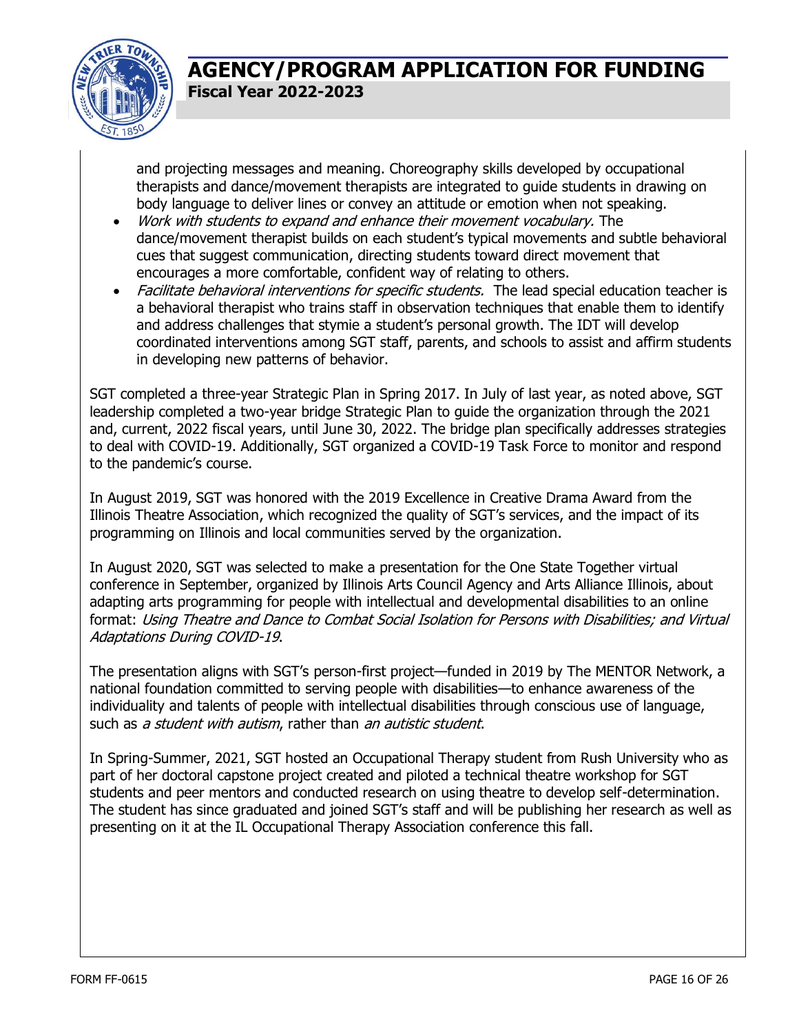

and projecting messages and meaning. Choreography skills developed by occupational therapists and dance/movement therapists are integrated to guide students in drawing on body language to deliver lines or convey an attitude or emotion when not speaking.

- Work with students to expand and enhance their movement vocabulary. The dance/movement therapist builds on each student's typical movements and subtle behavioral cues that suggest communication, directing students toward direct movement that encourages a more comfortable, confident way of relating to others.
- Facilitate behavioral interventions for specific students. The lead special education teacher is a behavioral therapist who trains staff in observation techniques that enable them to identify and address challenges that stymie a student's personal growth. The IDT will develop coordinated interventions among SGT staff, parents, and schools to assist and affirm students in developing new patterns of behavior.

SGT completed a three-year Strategic Plan in Spring 2017. In July of last year, as noted above, SGT leadership completed a two-year bridge Strategic Plan to guide the organization through the 2021 and, current, 2022 fiscal years, until June 30, 2022. The bridge plan specifically addresses strategies to deal with COVID-19. Additionally, SGT organized a COVID-19 Task Force to monitor and respond to the pandemic's course.

In August 2019, SGT was honored with the 2019 Excellence in Creative Drama Award from the Illinois Theatre Association, which recognized the quality of SGT's services, and the impact of its programming on Illinois and local communities served by the organization.

In August 2020, SGT was selected to make a presentation for the One State Together virtual conference in September, organized by Illinois Arts Council Agency and Arts Alliance Illinois, about adapting arts programming for people with intellectual and developmental disabilities to an online format: Using Theatre and Dance to Combat Social Isolation for Persons with Disabilities; and Virtual Adaptations During COVID-19.

The presentation aligns with SGT's person-first project—funded in 2019 by The MENTOR Network, a national foundation committed to serving people with disabilities—to enhance awareness of the individuality and talents of people with intellectual disabilities through conscious use of language, such as a student with autism, rather than an autistic student.

In Spring-Summer, 2021, SGT hosted an Occupational Therapy student from Rush University who as part of her doctoral capstone project created and piloted a technical theatre workshop for SGT students and peer mentors and conducted research on using theatre to develop self-determination. The student has since graduated and joined SGT's staff and will be publishing her research as well as presenting on it at the IL Occupational Therapy Association conference this fall.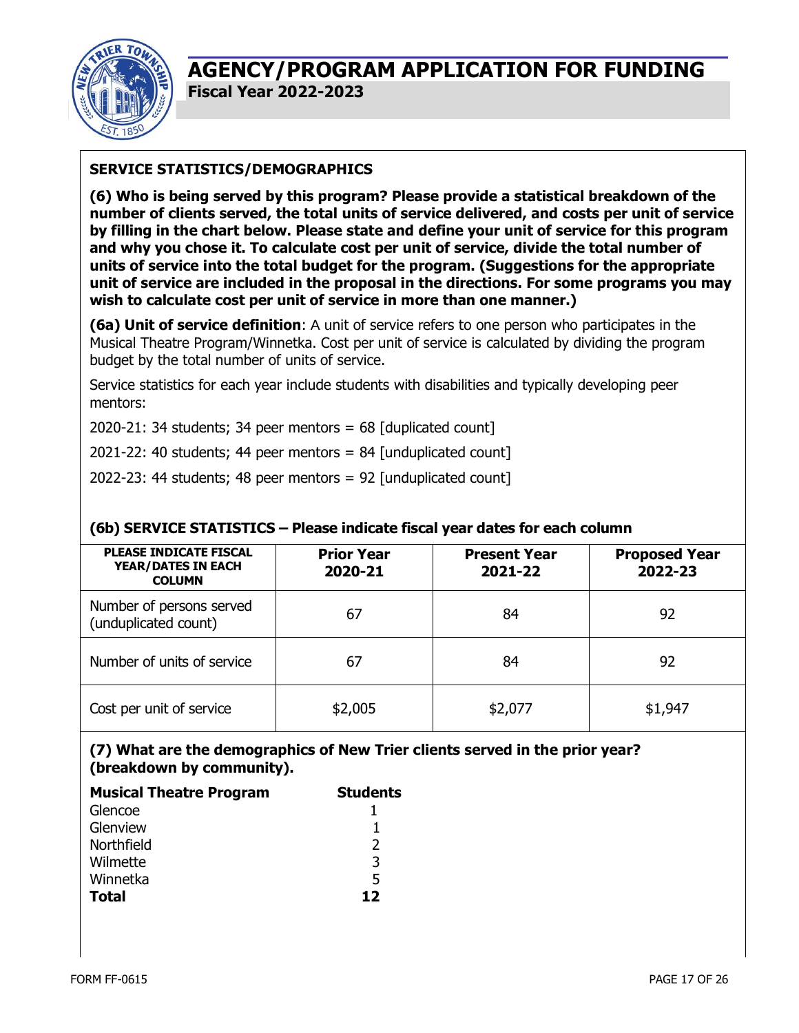

### **SERVICE STATISTICS/DEMOGRAPHICS**

**(6) Who is being served by this program? Please provide a statistical breakdown of the number of clients served, the total units of service delivered, and costs per unit of service by filling in the chart below. Please state and define your unit of service for this program and why you chose it. To calculate cost per unit of service, divide the total number of units of service into the total budget for the program. (Suggestions for the appropriate unit of service are included in the proposal in the directions. For some programs you may wish to calculate cost per unit of service in more than one manner.)**

**(6a) Unit of service definition**: A unit of service refers to one person who participates in the Musical Theatre Program/Winnetka. Cost per unit of service is calculated by dividing the program budget by the total number of units of service.

Service statistics for each year include students with disabilities and typically developing peer mentors:

2020-21: 34 students; 34 peer mentors =  $68$  [duplicated count]

2021-22: 40 students; 44 peer mentors = 84 [unduplicated count]

2022-23: 44 students; 48 peer mentors = 92 [unduplicated count]

| <b>PLEASE INDICATE FISCAL</b><br><b>YEAR/DATES IN EACH</b><br><b>COLUMN</b> | <b>Prior Year</b><br>2020-21 | <b>Present Year</b><br>2021-22 | <b>Proposed Year</b><br>2022-23 |
|-----------------------------------------------------------------------------|------------------------------|--------------------------------|---------------------------------|
| Number of persons served<br>(unduplicated count)                            | 67                           | 84                             | 92                              |
| Number of units of service                                                  | 67                           | 84                             | 92                              |
| Cost per unit of service                                                    | \$2,005                      | \$2,077                        | \$1,947                         |

### **(6b) SERVICE STATISTICS – Please indicate fiscal year dates for each column**

### **(7) What are the demographics of New Trier clients served in the prior year? (breakdown by community).**

| <b>Musical Theatre Program</b> | <b>Students</b> |  |
|--------------------------------|-----------------|--|
| Glencoe                        |                 |  |
| Glenview                       |                 |  |
| Northfield                     | っ               |  |
| Wilmette                       | 3               |  |
| Winnetka                       | 5               |  |
| <b>Total</b>                   | 12              |  |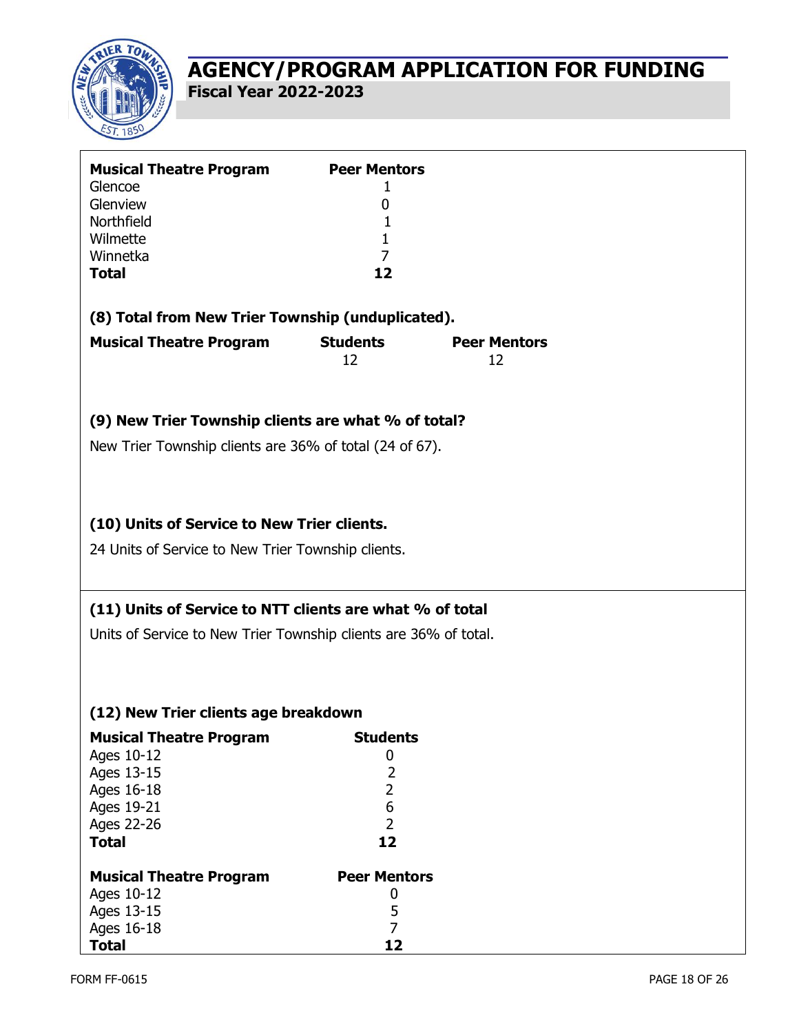

| <b>Musical Theatre Program</b><br>Glencoe<br>Glenview<br>Northfield<br>Wilmette<br>Winnetka<br><b>Total</b>          | <b>Peer Mentors</b><br>1<br>0<br>1<br>1<br>7<br>12                                    |                           |  |
|----------------------------------------------------------------------------------------------------------------------|---------------------------------------------------------------------------------------|---------------------------|--|
| (8) Total from New Trier Township (unduplicated).                                                                    |                                                                                       |                           |  |
| <b>Musical Theatre Program</b>                                                                                       | <b>Students</b><br>12                                                                 | <b>Peer Mentors</b><br>12 |  |
| (9) New Trier Township clients are what % of total?                                                                  |                                                                                       |                           |  |
| New Trier Township clients are 36% of total (24 of 67).                                                              |                                                                                       |                           |  |
| (10) Units of Service to New Trier clients.                                                                          |                                                                                       |                           |  |
| 24 Units of Service to New Trier Township clients.                                                                   |                                                                                       |                           |  |
| (11) Units of Service to NTT clients are what % of total                                                             |                                                                                       |                           |  |
| Units of Service to New Trier Township clients are 36% of total.                                                     |                                                                                       |                           |  |
| (12) New Trier clients age breakdown                                                                                 |                                                                                       |                           |  |
| <b>Musical Theatre Program</b><br>Ages 10-12<br>Ages 13-15<br>Ages 16-18<br>Ages 19-21<br>Ages 22-26<br><b>Total</b> | <b>Students</b><br>0<br>$\overline{2}$<br>$\overline{2}$<br>6<br>$\overline{2}$<br>12 |                           |  |
| <b>Musical Theatre Program</b>                                                                                       | <b>Peer Mentors</b>                                                                   |                           |  |
| Ages 10-12                                                                                                           | 0                                                                                     |                           |  |
|                                                                                                                      |                                                                                       |                           |  |
|                                                                                                                      |                                                                                       |                           |  |
| Ages 13-15<br>Ages 16-18<br><b>Total</b>                                                                             | 5<br>$\overline{7}$<br>12                                                             |                           |  |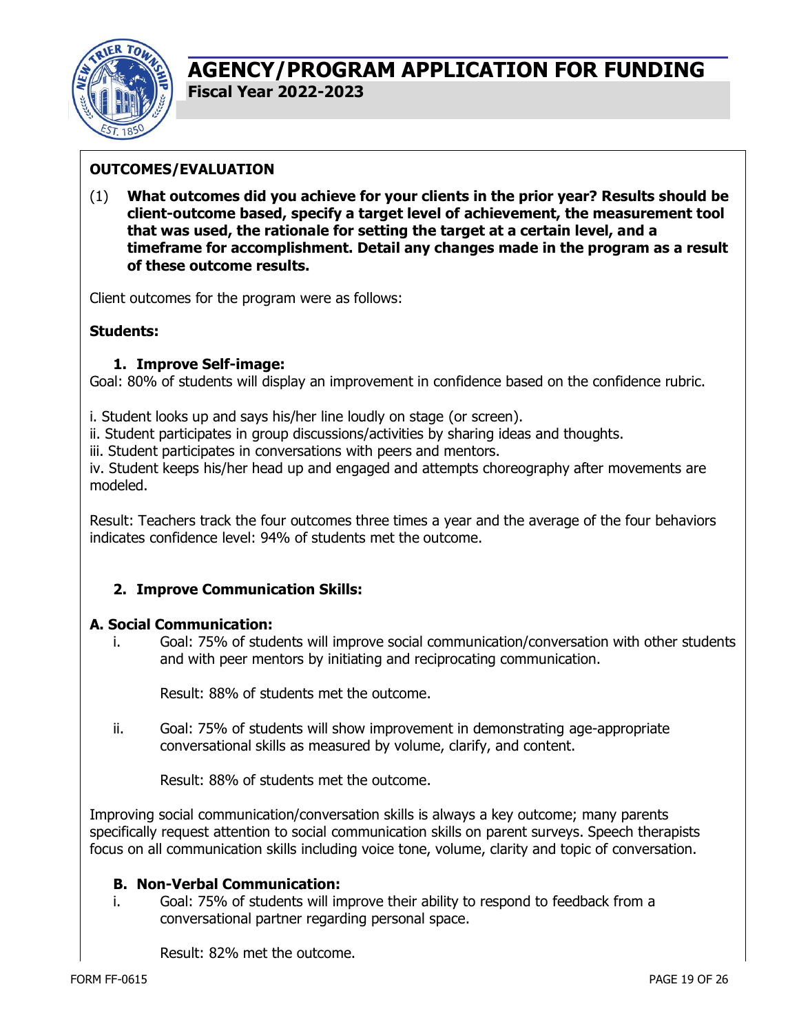

### **OUTCOMES/EVALUATION**

(1) **What outcomes did you achieve for your clients in the prior year? Results should be client-outcome based, specify a target level of achievement, the measurement tool that was used, the rationale for setting the target at a certain level, and a timeframe for accomplishment. Detail any changes made in the program as a result of these outcome results.**

Client outcomes for the program were as follows:

### **Students:**

#### **1. Improve Self-image:**

Goal: 80% of students will display an improvement in confidence based on the confidence rubric.

- i. Student looks up and says his/her line loudly on stage (or screen).
- ii. Student participates in group discussions/activities by sharing ideas and thoughts.

iii. Student participates in conversations with peers and mentors.

iv. Student keeps his/her head up and engaged and attempts choreography after movements are modeled.

Result: Teachers track the four outcomes three times a year and the average of the four behaviors indicates confidence level: 94% of students met the outcome.

### **2. Improve Communication Skills:**

#### **A. Social Communication:**

i. Goal: 75% of students will improve social communication/conversation with other students and with peer mentors by initiating and reciprocating communication.

Result: 88% of students met the outcome.

ii. Goal: 75% of students will show improvement in demonstrating age-appropriate conversational skills as measured by volume, clarify, and content.

Result: 88% of students met the outcome.

Improving social communication/conversation skills is always a key outcome; many parents specifically request attention to social communication skills on parent surveys. Speech therapists focus on all communication skills including voice tone, volume, clarity and topic of conversation.

#### **B. Non-Verbal Communication:**

i. Goal: 75% of students will improve their ability to respond to feedback from a conversational partner regarding personal space.

Result: 82% met the outcome.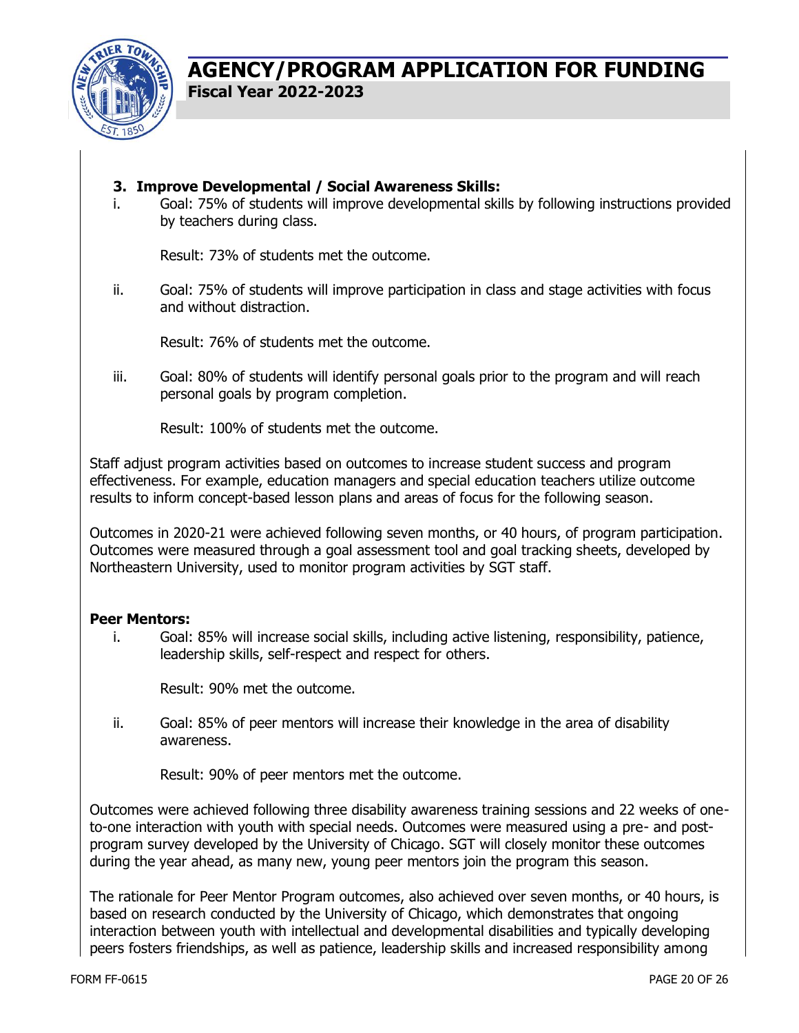

### **3. Improve Developmental / Social Awareness Skills:**

i. Goal: 75% of students will improve developmental skills by following instructions provided by teachers during class.

Result: 73% of students met the outcome.

ii. Goal: 75% of students will improve participation in class and stage activities with focus and without distraction.

Result: 76% of students met the outcome.

iii. Goal: 80% of students will identify personal goals prior to the program and will reach personal goals by program completion.

Result: 100% of students met the outcome.

Staff adjust program activities based on outcomes to increase student success and program effectiveness. For example, education managers and special education teachers utilize outcome results to inform concept-based lesson plans and areas of focus for the following season.

Outcomes in 2020-21 were achieved following seven months, or 40 hours, of program participation. Outcomes were measured through a goal assessment tool and goal tracking sheets, developed by Northeastern University, used to monitor program activities by SGT staff.

### **Peer Mentors:**

i. Goal: 85% will increase social skills, including active listening, responsibility, patience, leadership skills, self-respect and respect for others.

Result: 90% met the outcome.

ii. Goal: 85% of peer mentors will increase their knowledge in the area of disability awareness.

Result: 90% of peer mentors met the outcome.

Outcomes were achieved following three disability awareness training sessions and 22 weeks of oneto-one interaction with youth with special needs. Outcomes were measured using a pre- and postprogram survey developed by the University of Chicago. SGT will closely monitor these outcomes during the year ahead, as many new, young peer mentors join the program this season.

The rationale for Peer Mentor Program outcomes, also achieved over seven months, or 40 hours, is based on research conducted by the University of Chicago, which demonstrates that ongoing interaction between youth with intellectual and developmental disabilities and typically developing peers fosters friendships, as well as patience, leadership skills and increased responsibility among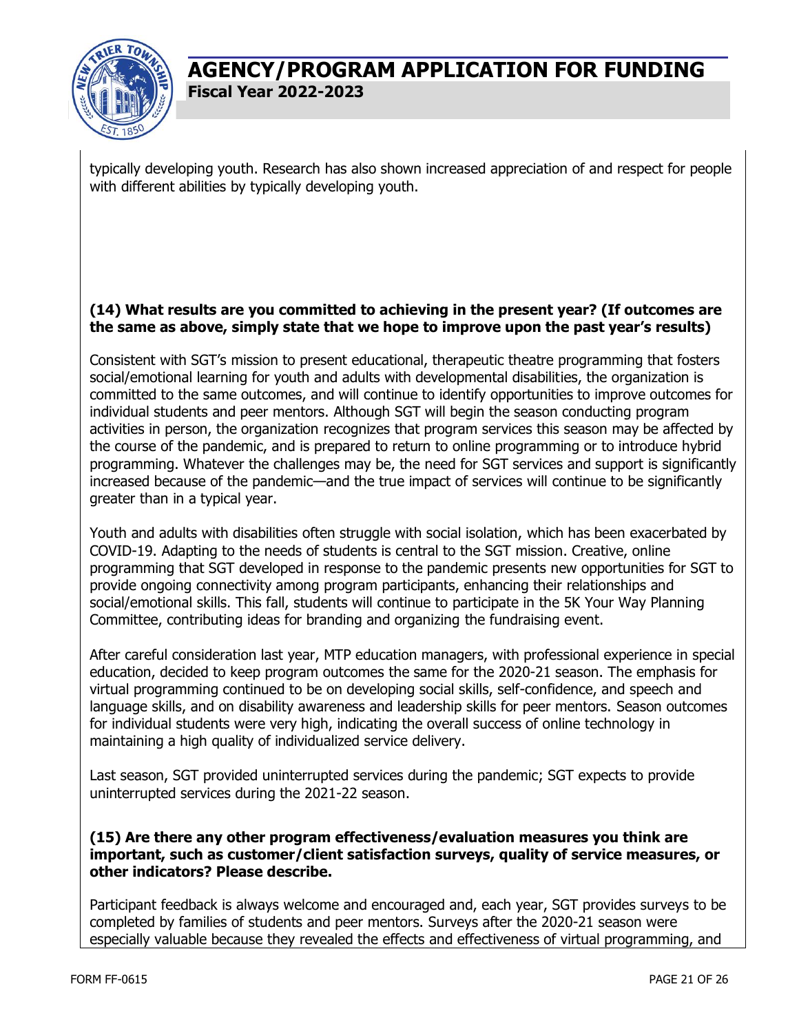

typically developing youth. Research has also shown increased appreciation of and respect for people with different abilities by typically developing youth.

### **(14) What results are you committed to achieving in the present year? (If outcomes are the same as above, simply state that we hope to improve upon the past year's results)**

Consistent with SGT's mission to present educational, therapeutic theatre programming that fosters social/emotional learning for youth and adults with developmental disabilities, the organization is committed to the same outcomes, and will continue to identify opportunities to improve outcomes for individual students and peer mentors. Although SGT will begin the season conducting program activities in person, the organization recognizes that program services this season may be affected by the course of the pandemic, and is prepared to return to online programming or to introduce hybrid programming. Whatever the challenges may be, the need for SGT services and support is significantly increased because of the pandemic—and the true impact of services will continue to be significantly greater than in a typical year.

Youth and adults with disabilities often struggle with social isolation, which has been exacerbated by COVID-19. Adapting to the needs of students is central to the SGT mission. Creative, online programming that SGT developed in response to the pandemic presents new opportunities for SGT to provide ongoing connectivity among program participants, enhancing their relationships and social/emotional skills. This fall, students will continue to participate in the 5K Your Way Planning Committee, contributing ideas for branding and organizing the fundraising event.

After careful consideration last year, MTP education managers, with professional experience in special education, decided to keep program outcomes the same for the 2020-21 season. The emphasis for virtual programming continued to be on developing social skills, self-confidence, and speech and language skills, and on disability awareness and leadership skills for peer mentors. Season outcomes for individual students were very high, indicating the overall success of online technology in maintaining a high quality of individualized service delivery.

Last season, SGT provided uninterrupted services during the pandemic; SGT expects to provide uninterrupted services during the 2021-22 season.

### **(15) Are there any other program effectiveness/evaluation measures you think are important, such as customer/client satisfaction surveys, quality of service measures, or other indicators? Please describe.**

Participant feedback is always welcome and encouraged and, each year, SGT provides surveys to be completed by families of students and peer mentors. Surveys after the 2020-21 season were especially valuable because they revealed the effects and effectiveness of virtual programming, and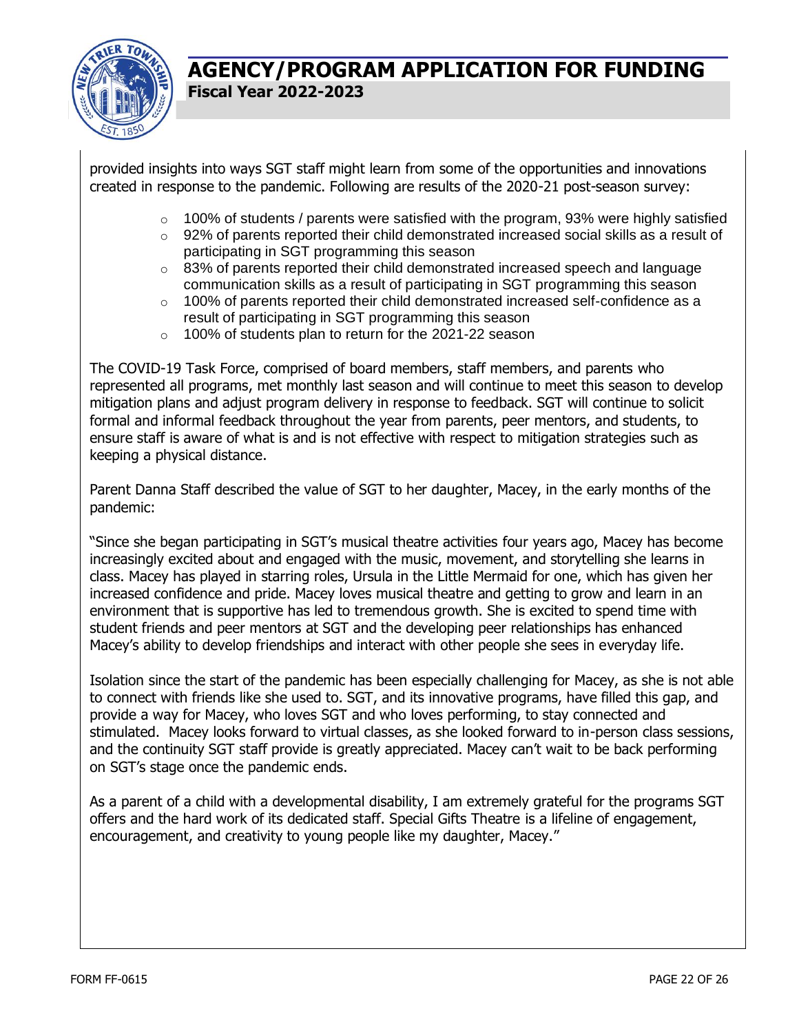

provided insights into ways SGT staff might learn from some of the opportunities and innovations created in response to the pandemic. Following are results of the 2020-21 post-season survey:

- $\circ$  100% of students / parents were satisfied with the program, 93% were highly satisfied
- $\circ$  92% of parents reported their child demonstrated increased social skills as a result of participating in SGT programming this season
- $\circ$  83% of parents reported their child demonstrated increased speech and language communication skills as a result of participating in SGT programming this season
- o 100% of parents reported their child demonstrated increased self-confidence as a result of participating in SGT programming this season
- o 100% of students plan to return for the 2021-22 season

The COVID-19 Task Force, comprised of board members, staff members, and parents who represented all programs, met monthly last season and will continue to meet this season to develop mitigation plans and adjust program delivery in response to feedback. SGT will continue to solicit formal and informal feedback throughout the year from parents, peer mentors, and students, to ensure staff is aware of what is and is not effective with respect to mitigation strategies such as keeping a physical distance.

Parent Danna Staff described the value of SGT to her daughter, Macey, in the early months of the pandemic:

"Since she began participating in SGT's musical theatre activities four years ago, Macey has become increasingly excited about and engaged with the music, movement, and storytelling she learns in class. Macey has played in starring roles, Ursula in the Little Mermaid for one, which has given her increased confidence and pride. Macey loves musical theatre and getting to grow and learn in an environment that is supportive has led to tremendous growth. She is excited to spend time with student friends and peer mentors at SGT and the developing peer relationships has enhanced Macey's ability to develop friendships and interact with other people she sees in everyday life.

Isolation since the start of the pandemic has been especially challenging for Macey, as she is not able to connect with friends like she used to. SGT, and its innovative programs, have filled this gap, and provide a way for Macey, who loves SGT and who loves performing, to stay connected and stimulated. Macey looks forward to virtual classes, as she looked forward to in-person class sessions, and the continuity SGT staff provide is greatly appreciated. Macey can't wait to be back performing on SGT's stage once the pandemic ends.

As a parent of a child with a developmental disability, I am extremely grateful for the programs SGT offers and the hard work of its dedicated staff. Special Gifts Theatre is a lifeline of engagement, encouragement, and creativity to young people like my daughter, Macey."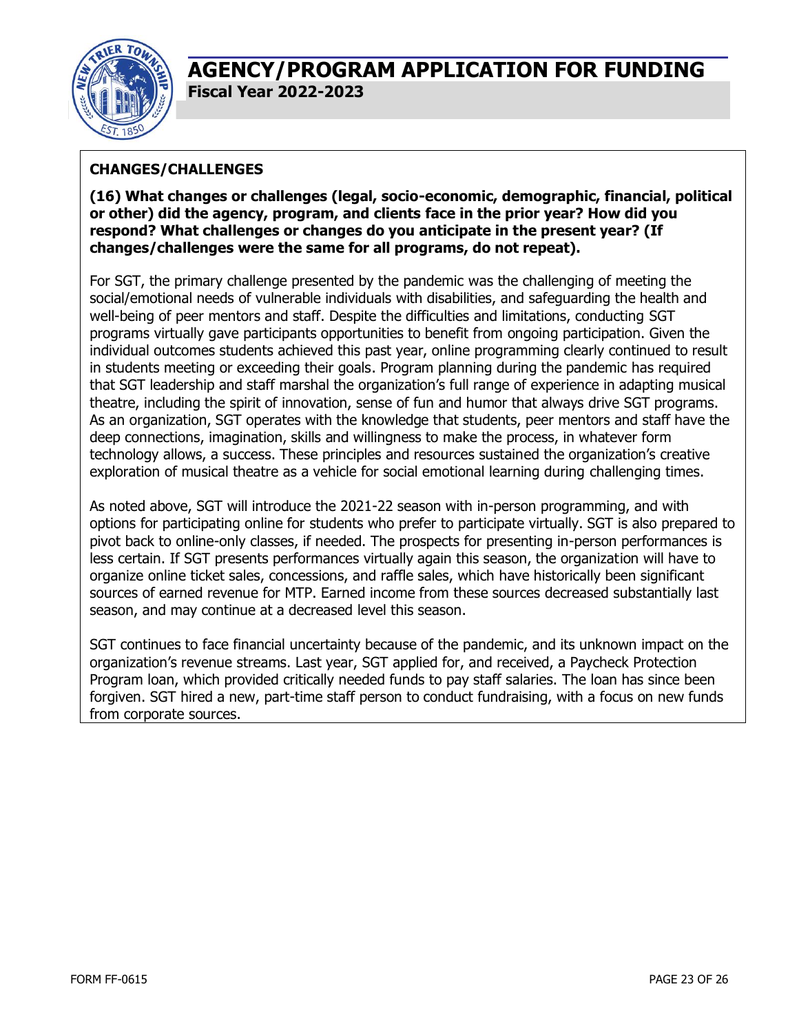

### **CHANGES/CHALLENGES**

**(16) What changes or challenges (legal, socio-economic, demographic, financial, political or other) did the agency, program, and clients face in the prior year? How did you respond? What challenges or changes do you anticipate in the present year? (If changes/challenges were the same for all programs, do not repeat).**

For SGT, the primary challenge presented by the pandemic was the challenging of meeting the social/emotional needs of vulnerable individuals with disabilities, and safeguarding the health and well-being of peer mentors and staff. Despite the difficulties and limitations, conducting SGT programs virtually gave participants opportunities to benefit from ongoing participation. Given the individual outcomes students achieved this past year, online programming clearly continued to result in students meeting or exceeding their goals. Program planning during the pandemic has required that SGT leadership and staff marshal the organization's full range of experience in adapting musical theatre, including the spirit of innovation, sense of fun and humor that always drive SGT programs. As an organization, SGT operates with the knowledge that students, peer mentors and staff have the deep connections, imagination, skills and willingness to make the process, in whatever form technology allows, a success. These principles and resources sustained the organization's creative exploration of musical theatre as a vehicle for social emotional learning during challenging times.

As noted above, SGT will introduce the 2021-22 season with in-person programming, and with options for participating online for students who prefer to participate virtually. SGT is also prepared to pivot back to online-only classes, if needed. The prospects for presenting in-person performances is less certain. If SGT presents performances virtually again this season, the organization will have to organize online ticket sales, concessions, and raffle sales, which have historically been significant sources of earned revenue for MTP. Earned income from these sources decreased substantially last season, and may continue at a decreased level this season.

SGT continues to face financial uncertainty because of the pandemic, and its unknown impact on the organization's revenue streams. Last year, SGT applied for, and received, a Paycheck Protection Program loan, which provided critically needed funds to pay staff salaries. The loan has since been forgiven. SGT hired a new, part-time staff person to conduct fundraising, with a focus on new funds from corporate sources.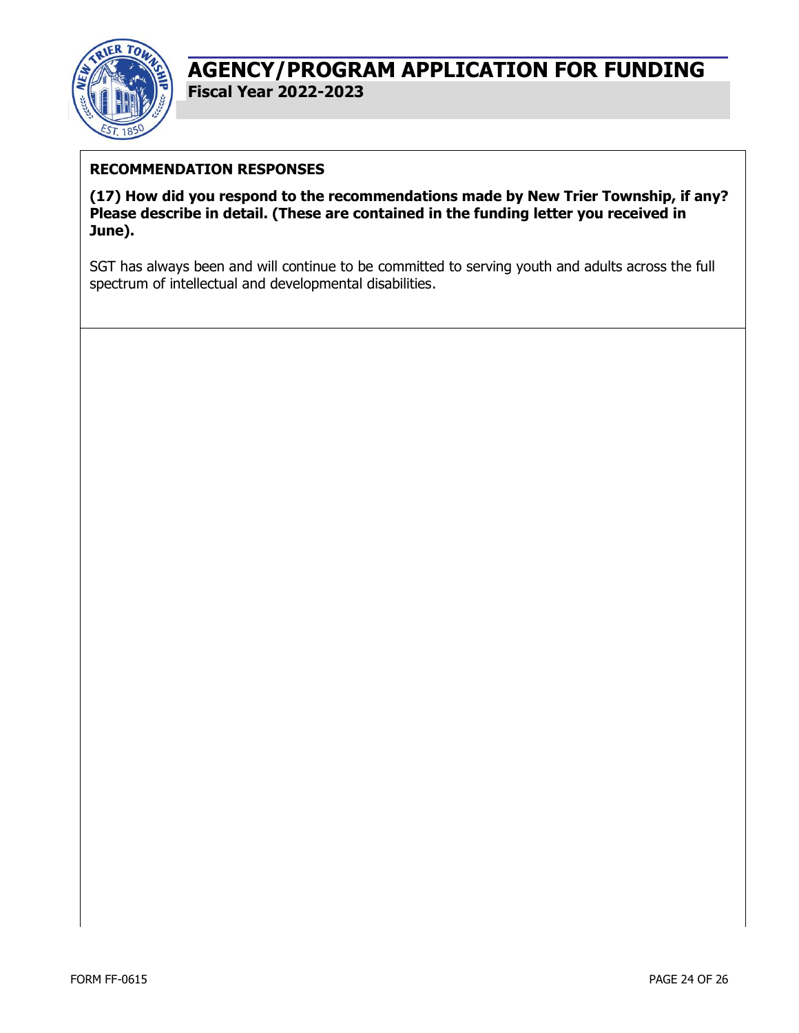

### **RECOMMENDATION RESPONSES**

**(17) How did you respond to the recommendations made by New Trier Township, if any? Please describe in detail. (These are contained in the funding letter you received in June).**

SGT has always been and will continue to be committed to serving youth and adults across the full spectrum of intellectual and developmental disabilities.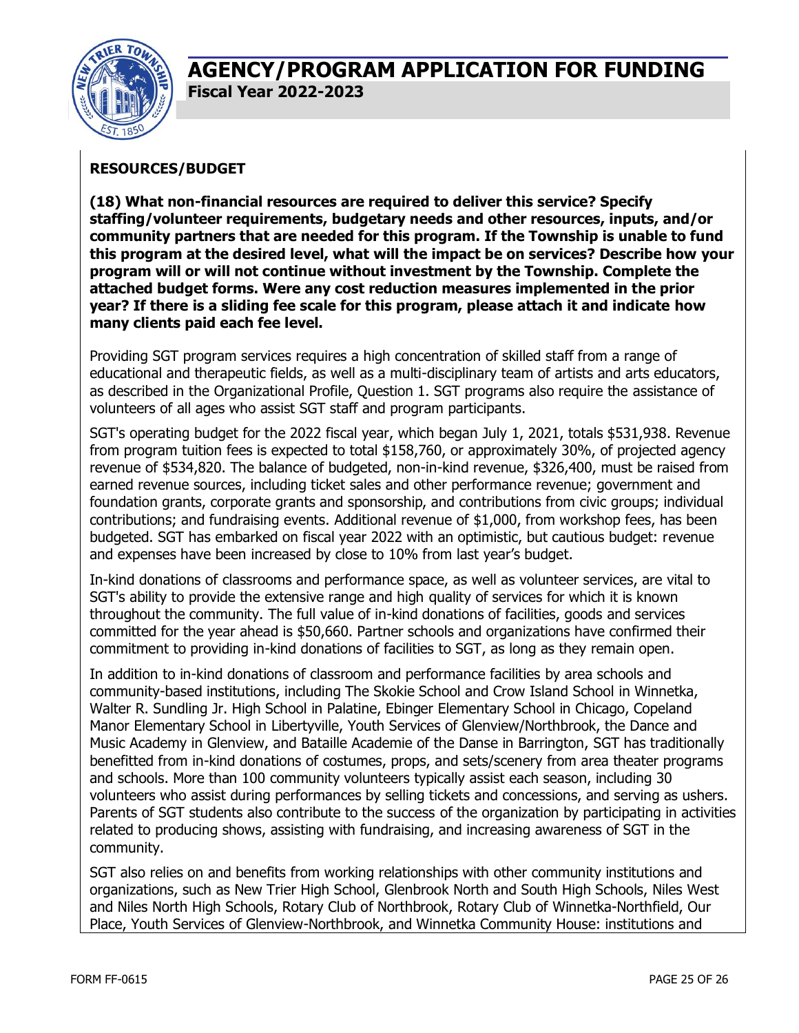

### **RESOURCES/BUDGET**

**(18) What non-financial resources are required to deliver this service? Specify staffing/volunteer requirements, budgetary needs and other resources, inputs, and/or community partners that are needed for this program. If the Township is unable to fund this program at the desired level, what will the impact be on services? Describe how your program will or will not continue without investment by the Township. Complete the attached budget forms. Were any cost reduction measures implemented in the prior year? If there is a sliding fee scale for this program, please attach it and indicate how many clients paid each fee level.**

Providing SGT program services requires a high concentration of skilled staff from a range of educational and therapeutic fields, as well as a multi-disciplinary team of artists and arts educators, as described in the Organizational Profile, Question 1. SGT programs also require the assistance of volunteers of all ages who assist SGT staff and program participants.

SGT's operating budget for the 2022 fiscal year, which began July 1, 2021, totals \$531,938. Revenue from program tuition fees is expected to total \$158,760, or approximately 30%, of projected agency revenue of \$534,820. The balance of budgeted, non-in-kind revenue, \$326,400, must be raised from earned revenue sources, including ticket sales and other performance revenue; government and foundation grants, corporate grants and sponsorship, and contributions from civic groups; individual contributions; and fundraising events. Additional revenue of \$1,000, from workshop fees, has been budgeted. SGT has embarked on fiscal year 2022 with an optimistic, but cautious budget: revenue and expenses have been increased by close to 10% from last year's budget.

In-kind donations of classrooms and performance space, as well as volunteer services, are vital to SGT's ability to provide the extensive range and high quality of services for which it is known throughout the community. The full value of in-kind donations of facilities, goods and services committed for the year ahead is \$50,660. Partner schools and organizations have confirmed their commitment to providing in-kind donations of facilities to SGT, as long as they remain open.

In addition to in-kind donations of classroom and performance facilities by area schools and community-based institutions, including The Skokie School and Crow Island School in Winnetka, Walter R. Sundling Jr. High School in Palatine, Ebinger Elementary School in Chicago, Copeland Manor Elementary School in Libertyville, Youth Services of Glenview/Northbrook, the Dance and Music Academy in Glenview, and Bataille Academie of the Danse in Barrington, SGT has traditionally benefitted from in-kind donations of costumes, props, and sets/scenery from area theater programs and schools. More than 100 community volunteers typically assist each season, including 30 volunteers who assist during performances by selling tickets and concessions, and serving as ushers. Parents of SGT students also contribute to the success of the organization by participating in activities related to producing shows, assisting with fundraising, and increasing awareness of SGT in the community.

SGT also relies on and benefits from working relationships with other community institutions and organizations, such as New Trier High School, Glenbrook North and South High Schools, Niles West and Niles North High Schools, Rotary Club of Northbrook, Rotary Club of Winnetka-Northfield, Our Place, Youth Services of Glenview-Northbrook, and Winnetka Community House: institutions and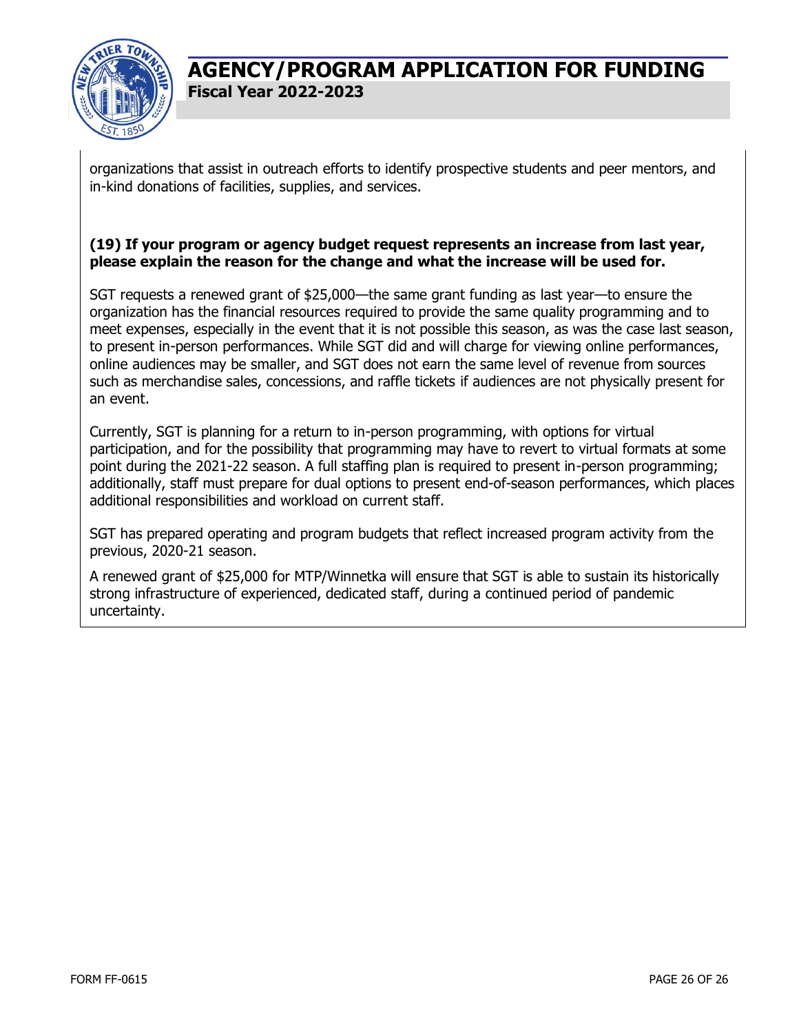

organizations that assist in outreach efforts to identify prospective students and peer mentors, and in-kind donations of facilities, supplies, and services.

#### **(19) If your program or agency budget request represents an increase from last year, please explain the reason for the change and what the increase will be used for.**

SGT requests a renewed grant of \$25,000—the same grant funding as last year—to ensure the organization has the financial resources required to provide the same quality programming and to meet expenses, especially in the event that it is not possible this season, as was the case last season, to present in-person performances. While SGT did and will charge for viewing online performances, online audiences may be smaller, and SGT does not earn the same level of revenue from sources such as merchandise sales, concessions, and raffle tickets if audiences are not physically present for an event.

Currently, SGT is planning for a return to in-person programming, with options for virtual participation, and for the possibility that programming may have to revert to virtual formats at some point during the 2021-22 season. A full staffing plan is required to present in-person programming; additionally, staff must prepare for dual options to present end-of-season performances, which places additional responsibilities and workload on current staff.

SGT has prepared operating and program budgets that reflect increased program activity from the previous, 2020-21 season.

A renewed grant of \$25,000 for MTP/Winnetka will ensure that SGT is able to sustain its historically strong infrastructure of experienced, dedicated staff, during a continued period of pandemic uncertainty.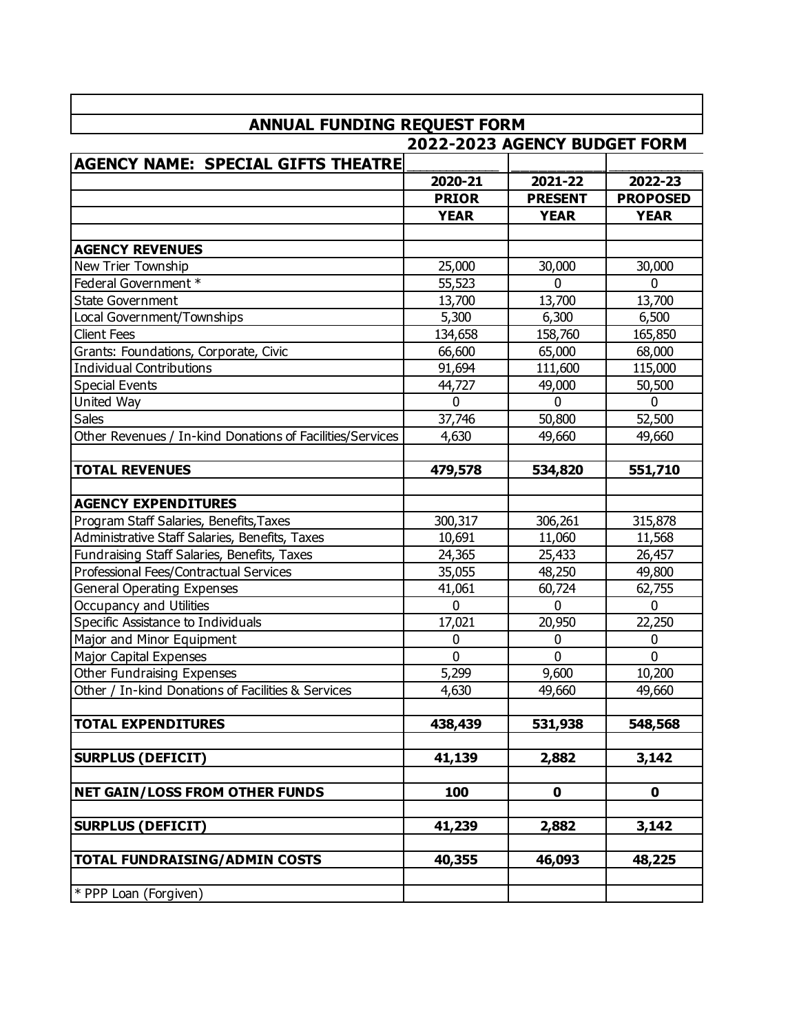|                                                           | <b>ANNUAL FUNDING REQUEST FORM</b> |                |                 |  |  |  |  |
|-----------------------------------------------------------|------------------------------------|----------------|-----------------|--|--|--|--|
|                                                           | 2022-2023 AGENCY BUDGET FORM       |                |                 |  |  |  |  |
| AGENCY NAME: SPECIA <u>L GIFTS THEATRE</u>                |                                    |                |                 |  |  |  |  |
|                                                           | 2020-21                            | 2021-22        | 2022-23         |  |  |  |  |
|                                                           | <b>PRIOR</b>                       | <b>PRESENT</b> | <b>PROPOSED</b> |  |  |  |  |
|                                                           | <b>YEAR</b>                        | <b>YEAR</b>    | <b>YEAR</b>     |  |  |  |  |
|                                                           |                                    |                |                 |  |  |  |  |
| <b>AGENCY REVENUES</b>                                    |                                    |                |                 |  |  |  |  |
| New Trier Township                                        | 25,000                             | 30,000         | 30,000          |  |  |  |  |
| Federal Government *                                      | 55,523                             | 0              | 0               |  |  |  |  |
| <b>State Government</b>                                   | 13,700                             | 13,700         | 13,700          |  |  |  |  |
| Local Government/Townships                                | 5,300                              | 6,300          | 6,500           |  |  |  |  |
| <b>Client Fees</b>                                        | 134,658                            | 158,760        | 165,850         |  |  |  |  |
| Grants: Foundations, Corporate, Civic                     | 66,600                             | 65,000         | 68,000          |  |  |  |  |
| Individual Contributions                                  | 91,694                             | 111,600        | 115,000         |  |  |  |  |
| <b>Special Events</b>                                     | 44,727                             | 49,000         | 50,500          |  |  |  |  |
| United Way                                                | $\mathbf 0$                        | $\mathbf{0}$   | 0               |  |  |  |  |
| <b>Sales</b>                                              | 37,746                             | 50,800         | 52,500          |  |  |  |  |
| Other Revenues / In-kind Donations of Facilities/Services | 4,630                              | 49,660         | 49,660          |  |  |  |  |
| <b>TOTAL REVENUES</b>                                     | 479,578                            | 534,820        | 551,710         |  |  |  |  |
|                                                           |                                    |                |                 |  |  |  |  |
| <b>AGENCY EXPENDITURES</b>                                |                                    |                |                 |  |  |  |  |
| Program Staff Salaries, Benefits, Taxes                   | 300,317                            | 306,261        | 315,878         |  |  |  |  |
| Administrative Staff Salaries, Benefits, Taxes            | 10,691                             | 11,060         | 11,568          |  |  |  |  |
| Fundraising Staff Salaries, Benefits, Taxes               | 24,365                             | 25,433         | 26,457          |  |  |  |  |
| Professional Fees/Contractual Services                    | 35,055                             | 48,250         | 49,800          |  |  |  |  |
| General Operating Expenses                                | 41,061                             | 60,724         | 62,755          |  |  |  |  |
| Occupancy and Utilities                                   | $\overline{0}$                     | $\mathbf 0$    | $\mathbf 0$     |  |  |  |  |
| Specific Assistance to Individuals                        | 17,021                             | 20,950         | 22,250          |  |  |  |  |
| Major and Minor Equipment                                 | 0                                  | 0              | 0               |  |  |  |  |
| Major Capital Expenses                                    | $\mathbf 0$                        | $\mathbf 0$    | $\mathbf 0$     |  |  |  |  |
| Other Fundraising Expenses                                | 5,299                              | 9,600          | 10,200          |  |  |  |  |
| Other / In-kind Donations of Facilities & Services        | 4,630                              | 49,660         | 49,660          |  |  |  |  |
|                                                           |                                    |                |                 |  |  |  |  |
| <b>TOTAL EXPENDITURES</b>                                 | 438,439                            | 531,938        | 548,568         |  |  |  |  |
| <b>SURPLUS (DEFICIT)</b>                                  | 41,139                             | 2,882          | 3,142           |  |  |  |  |
|                                                           |                                    |                |                 |  |  |  |  |
| <b>NET GAIN/LOSS FROM OTHER FUNDS</b>                     | 100                                | $\mathbf 0$    | 0               |  |  |  |  |
| <b>SURPLUS (DEFICIT)</b>                                  | 41,239                             | 2,882          | 3,142           |  |  |  |  |
| <b>TOTAL FUNDRAISING/ADMIN COSTS</b>                      | 40,355                             | 46,093         | 48,225          |  |  |  |  |
|                                                           |                                    |                |                 |  |  |  |  |
| $*$ PPP Loan (Forgiven)                                   |                                    |                |                 |  |  |  |  |